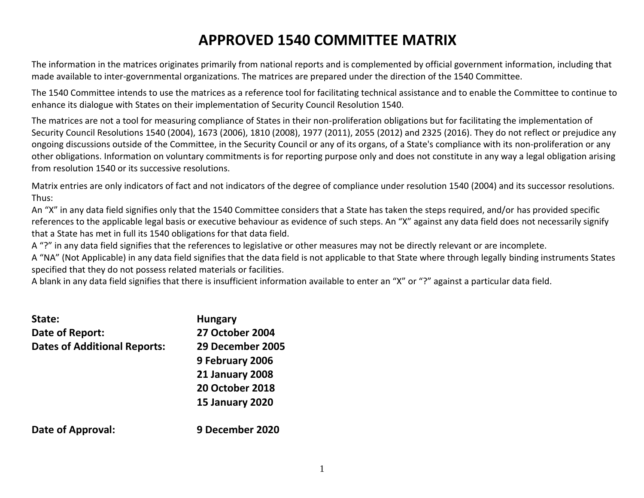# **APPROVED 1540 COMMITTEE MATRIX**

The information in the matrices originates primarily from national reports and is complemented by official government information, including that made available to inter-governmental organizations. The matrices are prepared under the direction of the 1540 Committee.

The 1540 Committee intends to use the matrices as a reference tool for facilitating technical assistance and to enable the Committee to continue to enhance its dialogue with States on their implementation of Security Council Resolution 1540.

The matrices are not a tool for measuring compliance of States in their non-proliferation obligations but for facilitating the implementation of Security Council Resolutions 1540 (2004), 1673 (2006), 1810 (2008), 1977 (2011), 2055 (2012) and 2325 (2016). They do not reflect or prejudice any ongoing discussions outside of the Committee, in the Security Council or any of its organs, of a State's compliance with its non-proliferation or any other obligations. Information on voluntary commitments is for reporting purpose only and does not constitute in any way a legal obligation arising from resolution 1540 or its successive resolutions.

Matrix entries are only indicators of fact and not indicators of the degree of compliance under resolution 1540 (2004) and its successor resolutions. Thus:

An "X" in any data field signifies only that the 1540 Committee considers that a State has taken the steps required, and/or has provided specific references to the applicable legal basis or executive behaviour as evidence of such steps. An "X" against any data field does not necessarily signify that a State has met in full its 1540 obligations for that data field.

A "?" in any data field signifies that the references to legislative or other measures may not be directly relevant or are incomplete.

A "NA" (Not Applicable) in any data field signifies that the data field is not applicable to that State where through legally binding instruments States specified that they do not possess related materials or facilities.

A blank in any data field signifies that there is insufficient information available to enter an "X" or "?" against a particular data field.

| State:                              | <b>Hungary</b>         |
|-------------------------------------|------------------------|
| Date of Report:                     | <b>27 October 2004</b> |
| <b>Dates of Additional Reports:</b> | 29 December 2005       |
|                                     | 9 February 2006        |
|                                     | <b>21 January 2008</b> |
|                                     | <b>20 October 2018</b> |
|                                     | <b>15 January 2020</b> |
| Date of Approval:                   | 9 December 2020        |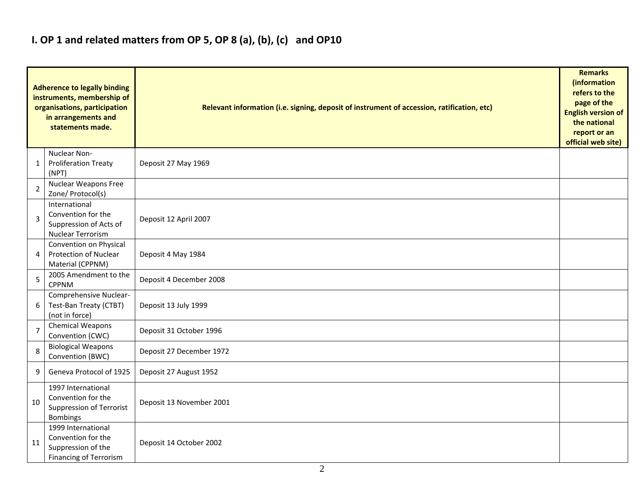### **I. OP 1 and related matters from OP 5, OP 8 (a), (b), (c) and OP10**

|                | <b>Adherence to legally binding</b><br>instruments, membership of<br>organisations, participation<br>in arrangements and<br>statements made. | Relevant information (i.e. signing, deposit of instrument of accession, ratification, etc) |  |  |  |  |  |  |  |  |
|----------------|----------------------------------------------------------------------------------------------------------------------------------------------|--------------------------------------------------------------------------------------------|--|--|--|--|--|--|--|--|
| 1              | Nuclear Non-<br><b>Proliferation Treaty</b><br>(NPT)                                                                                         | Deposit 27 May 1969                                                                        |  |  |  |  |  |  |  |  |
| $\overline{2}$ | Nuclear Weapons Free<br>Zone/ Protocol(s)                                                                                                    |                                                                                            |  |  |  |  |  |  |  |  |
| 3              | International<br>Convention for the<br>Suppression of Acts of<br><b>Nuclear Terrorism</b>                                                    | Deposit 12 April 2007                                                                      |  |  |  |  |  |  |  |  |
| 4              | Convention on Physical<br>Protection of Nuclear<br>Material (CPPNM)                                                                          | Deposit 4 May 1984                                                                         |  |  |  |  |  |  |  |  |
| 5              | 2005 Amendment to the<br><b>CPPNM</b>                                                                                                        | Deposit 4 December 2008                                                                    |  |  |  |  |  |  |  |  |
| 6              | Comprehensive Nuclear-<br>Test-Ban Treaty (CTBT)<br>(not in force)                                                                           | Deposit 13 July 1999                                                                       |  |  |  |  |  |  |  |  |
| $\overline{7}$ | Chemical Weapons<br>Convention (CWC)                                                                                                         | Deposit 31 October 1996                                                                    |  |  |  |  |  |  |  |  |
| 8              | <b>Biological Weapons</b><br>Convention (BWC)                                                                                                | Deposit 27 December 1972                                                                   |  |  |  |  |  |  |  |  |
| 9              | Geneva Protocol of 1925                                                                                                                      | Deposit 27 August 1952                                                                     |  |  |  |  |  |  |  |  |
| 10             | 1997 International<br>Convention for the<br>Suppression of Terrorist<br>Bombings                                                             | Deposit 13 November 2001                                                                   |  |  |  |  |  |  |  |  |
| 11             | 1999 International<br>Convention for the<br>Suppression of the<br>Financing of Terrorism                                                     | Deposit 14 October 2002                                                                    |  |  |  |  |  |  |  |  |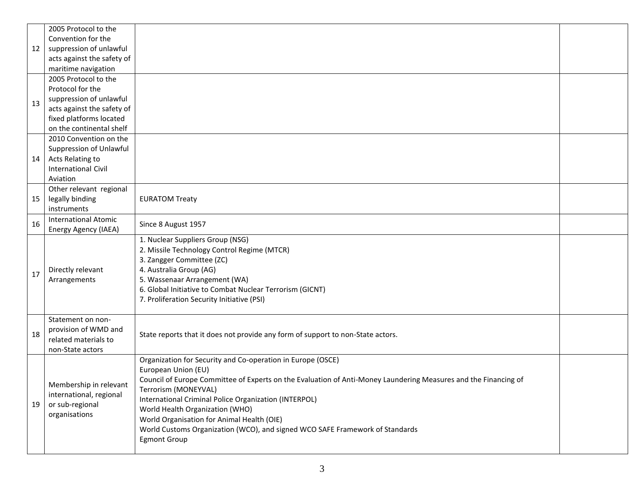|    | 2005 Protocol to the                         |                                                                                                                 |  |  |  |  |  |  |  |
|----|----------------------------------------------|-----------------------------------------------------------------------------------------------------------------|--|--|--|--|--|--|--|
|    | Convention for the                           |                                                                                                                 |  |  |  |  |  |  |  |
| 12 | suppression of unlawful                      |                                                                                                                 |  |  |  |  |  |  |  |
|    | acts against the safety of                   |                                                                                                                 |  |  |  |  |  |  |  |
|    | maritime navigation                          |                                                                                                                 |  |  |  |  |  |  |  |
|    | 2005 Protocol to the                         |                                                                                                                 |  |  |  |  |  |  |  |
|    | Protocol for the                             |                                                                                                                 |  |  |  |  |  |  |  |
| 13 | suppression of unlawful                      |                                                                                                                 |  |  |  |  |  |  |  |
|    | acts against the safety of                   |                                                                                                                 |  |  |  |  |  |  |  |
|    | fixed platforms located                      |                                                                                                                 |  |  |  |  |  |  |  |
|    | on the continental shelf                     |                                                                                                                 |  |  |  |  |  |  |  |
|    | 2010 Convention on the                       |                                                                                                                 |  |  |  |  |  |  |  |
|    | Suppression of Unlawful                      |                                                                                                                 |  |  |  |  |  |  |  |
| 14 | Acts Relating to                             |                                                                                                                 |  |  |  |  |  |  |  |
|    | <b>International Civil</b>                   |                                                                                                                 |  |  |  |  |  |  |  |
|    | Aviation                                     |                                                                                                                 |  |  |  |  |  |  |  |
|    | Other relevant regional                      |                                                                                                                 |  |  |  |  |  |  |  |
| 15 | legally binding                              | <b>EURATOM Treaty</b>                                                                                           |  |  |  |  |  |  |  |
|    | instruments                                  |                                                                                                                 |  |  |  |  |  |  |  |
| 16 | <b>International Atomic</b>                  | Since 8 August 1957                                                                                             |  |  |  |  |  |  |  |
|    | Energy Agency (IAEA)                         |                                                                                                                 |  |  |  |  |  |  |  |
|    |                                              | 1. Nuclear Suppliers Group (NSG)                                                                                |  |  |  |  |  |  |  |
|    |                                              | 2. Missile Technology Control Regime (MTCR)                                                                     |  |  |  |  |  |  |  |
|    |                                              | 3. Zangger Committee (ZC)                                                                                       |  |  |  |  |  |  |  |
| 17 | Directly relevant                            | 4. Australia Group (AG)                                                                                         |  |  |  |  |  |  |  |
|    | Arrangements                                 | 5. Wassenaar Arrangement (WA)                                                                                   |  |  |  |  |  |  |  |
|    |                                              | 6. Global Initiative to Combat Nuclear Terrorism (GICNT)                                                        |  |  |  |  |  |  |  |
|    |                                              | 7. Proliferation Security Initiative (PSI)                                                                      |  |  |  |  |  |  |  |
|    |                                              |                                                                                                                 |  |  |  |  |  |  |  |
|    | Statement on non-                            |                                                                                                                 |  |  |  |  |  |  |  |
| 18 | provision of WMD and<br>related materials to | State reports that it does not provide any form of support to non-State actors.                                 |  |  |  |  |  |  |  |
|    | non-State actors                             |                                                                                                                 |  |  |  |  |  |  |  |
|    |                                              | Organization for Security and Co-operation in Europe (OSCE)                                                     |  |  |  |  |  |  |  |
|    |                                              | European Union (EU)                                                                                             |  |  |  |  |  |  |  |
|    |                                              | Council of Europe Committee of Experts on the Evaluation of Anti-Money Laundering Measures and the Financing of |  |  |  |  |  |  |  |
|    | Membership in relevant                       | Terrorism (MONEYVAL)                                                                                            |  |  |  |  |  |  |  |
|    | international, regional                      | International Criminal Police Organization (INTERPOL)                                                           |  |  |  |  |  |  |  |
| 19 | or sub-regional                              | World Health Organization (WHO)                                                                                 |  |  |  |  |  |  |  |
|    | organisations                                | World Organisation for Animal Health (OIE)                                                                      |  |  |  |  |  |  |  |
|    |                                              | World Customs Organization (WCO), and signed WCO SAFE Framework of Standards                                    |  |  |  |  |  |  |  |
|    |                                              | <b>Egmont Group</b>                                                                                             |  |  |  |  |  |  |  |
|    |                                              |                                                                                                                 |  |  |  |  |  |  |  |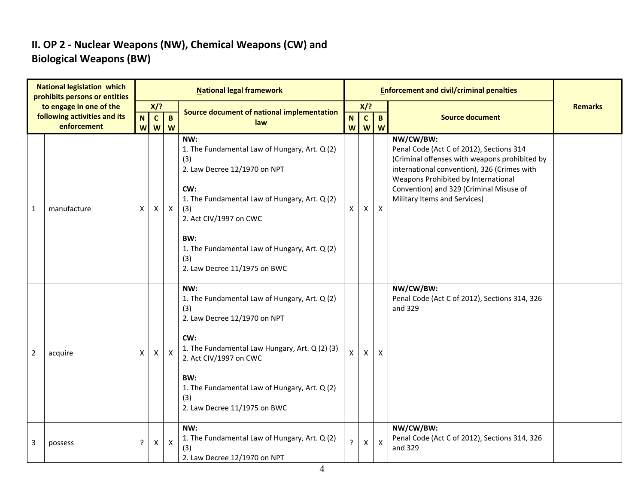#### **II. OP 2 - Nuclear Weapons (NW), Chemical Weapons (CW) and Biological Weapons (BW)**

|                | <b>National legislation which</b><br>prohibits persons or entities     |        |                       |                               | <b>National legal framework</b>                                                                                                                                                                                                                                                     |                |                            |                   | <b>Enforcement and civil/criminal penalties</b>                                                                                                                                                                                                                         |                |
|----------------|------------------------------------------------------------------------|--------|-----------------------|-------------------------------|-------------------------------------------------------------------------------------------------------------------------------------------------------------------------------------------------------------------------------------------------------------------------------------|----------------|----------------------------|-------------------|-------------------------------------------------------------------------------------------------------------------------------------------------------------------------------------------------------------------------------------------------------------------------|----------------|
|                | to engage in one of the<br>following activities and its<br>enforcement | N<br>W | $X$ ?<br>$\mathbf{C}$ | $\, {\bf B} \,$<br><b>W</b> W | Source document of national implementation<br>law                                                                                                                                                                                                                                   | N<br>W         | $X$ ?<br>$\mathbf{C}$<br>W | $\mathbf{B}$<br>W | <b>Source document</b>                                                                                                                                                                                                                                                  | <b>Remarks</b> |
| 1              | manufacture                                                            | X      | X                     | $\mathsf{X}$                  | NW:<br>1. The Fundamental Law of Hungary, Art. Q (2)<br>(3)<br>2. Law Decree 12/1970 on NPT<br>CW:<br>1. The Fundamental Law of Hungary, Art. Q (2)<br>(3)<br>2. Act CIV/1997 on CWC<br>BW:<br>1. The Fundamental Law of Hungary, Art. Q (2)<br>(3)<br>2. Law Decree 11/1975 on BWC | X              | X                          | $\mathsf{X}$      | NW/CW/BW:<br>Penal Code (Act C of 2012), Sections 314<br>(Criminal offenses with weapons prohibited by<br>international convention), 326 (Crimes with<br>Weapons Prohibited by International<br>Convention) and 329 (Criminal Misuse of<br>Military Items and Services) |                |
| $\overline{2}$ | acquire                                                                | X      | X                     | $\mathsf{X}$                  | NW:<br>1. The Fundamental Law of Hungary, Art. Q (2)<br>(3)<br>2. Law Decree 12/1970 on NPT<br>CW:<br>1. The Fundamental Law Hungary, Art. Q (2) (3)<br>2. Act CIV/1997 on CWC<br>BW:<br>1. The Fundamental Law of Hungary, Art. Q (2)<br>(3)<br>2. Law Decree 11/1975 on BWC       | X              | $\mathsf{X}$               | $\mathsf{x}$      | NW/CW/BW:<br>Penal Code (Act C of 2012), Sections 314, 326<br>and 329                                                                                                                                                                                                   |                |
| 3              | possess                                                                | ?      | X                     | $\boldsymbol{\mathsf{X}}$     | NW:<br>1. The Fundamental Law of Hungary, Art. Q (2)<br>(3)<br>2. Law Decree 12/1970 on NPT                                                                                                                                                                                         | $\overline{?}$ | X                          | $\mathsf{x}$      | NW/CW/BW:<br>Penal Code (Act C of 2012), Sections 314, 326<br>and 329                                                                                                                                                                                                   |                |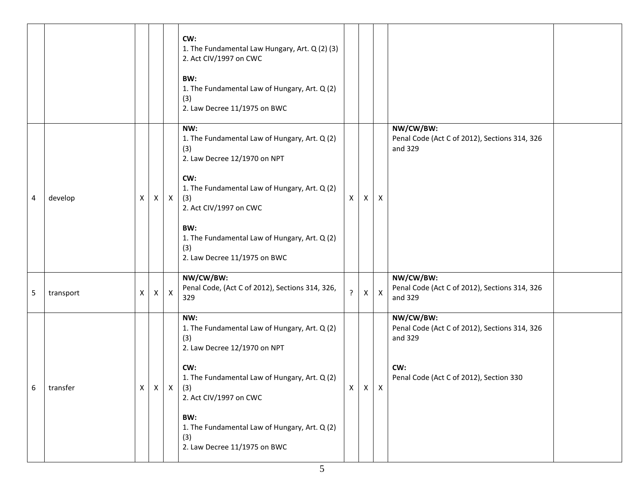|   |           |   |   |              | CW:<br>1. The Fundamental Law Hungary, Art. Q (2) (3)<br>2. Act CIV/1997 on CWC<br>BW:<br>1. The Fundamental Law of Hungary, Art. Q (2)<br>(3)<br>2. Law Decree 11/1975 on BWC                                                                                                                             |   |              |                           |                                                                                                                         |  |
|---|-----------|---|---|--------------|------------------------------------------------------------------------------------------------------------------------------------------------------------------------------------------------------------------------------------------------------------------------------------------------------------|---|--------------|---------------------------|-------------------------------------------------------------------------------------------------------------------------|--|
| 4 | develop   | X | X | $\mathsf{X}$ | NW:<br>1. The Fundamental Law of Hungary, Art. Q (2)<br>(3)<br>2. Law Decree 12/1970 on NPT<br>CW:<br>1. The Fundamental Law of Hungary, Art. Q (2)<br>(3)<br>2. Act CIV/1997 on CWC<br>BW:<br>1. The Fundamental Law of Hungary, Art. Q (2)<br>(3)<br>2. Law Decree 11/1975 on BWC                        | X | X            | X                         | NW/CW/BW:<br>Penal Code (Act C of 2012), Sections 314, 326<br>and 329                                                   |  |
| 5 | transport | X | X | X            | NW/CW/BW:<br>Penal Code, (Act C of 2012), Sections 314, 326,<br>329                                                                                                                                                                                                                                        | ? | $\mathsf{X}$ | $\boldsymbol{\mathsf{X}}$ | NW/CW/BW:<br>Penal Code (Act C of 2012), Sections 314, 326<br>and 329                                                   |  |
| 6 | transfer  |   |   |              | NW:<br>1. The Fundamental Law of Hungary, Art. Q (2)<br>(3)<br>2. Law Decree 12/1970 on NPT<br>CW:<br>1. The Fundamental Law of Hungary, Art. Q (2)<br>$X \mid X \mid X \mid (3)$<br>2. Act CIV/1997 on CWC<br>BW:<br>1. The Fundamental Law of Hungary, Art. Q (2)<br>(3)<br>2. Law Decree 11/1975 on BWC | X | $X$ $X$      |                           | NW/CW/BW:<br>Penal Code (Act C of 2012), Sections 314, 326<br>and 329<br>CW:<br>Penal Code (Act C of 2012), Section 330 |  |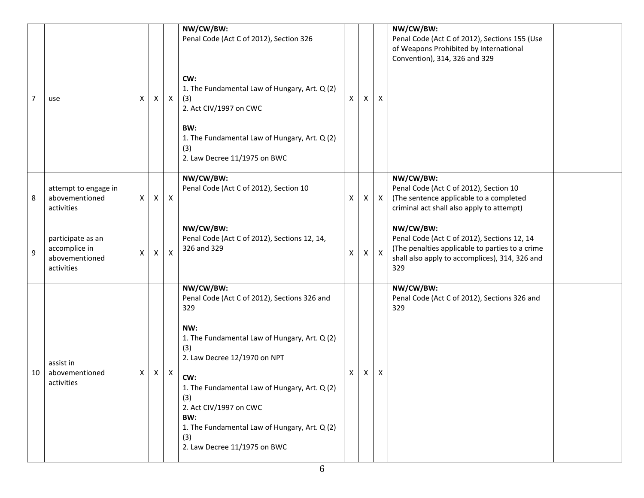|                |                                                                    |   |                    |                           | NW/CW/BW:<br>Penal Code (Act C of 2012), Section 326                                                                                                                                 |   |              |                           | NW/CW/BW:<br>Penal Code (Act C of 2012), Sections 155 (Use<br>of Weapons Prohibited by International<br>Convention), 314, 326 and 329                                |  |
|----------------|--------------------------------------------------------------------|---|--------------------|---------------------------|--------------------------------------------------------------------------------------------------------------------------------------------------------------------------------------|---|--------------|---------------------------|----------------------------------------------------------------------------------------------------------------------------------------------------------------------|--|
| $\overline{7}$ | use                                                                | X | $\mathsf{X}$       | $\mathsf{X}$              | CW:<br>1. The Fundamental Law of Hungary, Art. Q (2)<br>(3)<br>2. Act CIV/1997 on CWC                                                                                                | X | X            | $\mathsf{X}$              |                                                                                                                                                                      |  |
|                |                                                                    |   |                    |                           | BW:<br>1. The Fundamental Law of Hungary, Art. Q (2)<br>(3)<br>2. Law Decree 11/1975 on BWC                                                                                          |   |              |                           |                                                                                                                                                                      |  |
| 8              | attempt to engage in<br>abovementioned<br>activities               | X | $\pmb{\mathsf{X}}$ | $\mathsf{X}$              | NW/CW/BW:<br>Penal Code (Act C of 2012), Section 10                                                                                                                                  | Х | $\mathsf{X}$ | $\mathsf{X}$              | NW/CW/BW:<br>Penal Code (Act C of 2012), Section 10<br>(The sentence applicable to a completed<br>criminal act shall also apply to attempt)                          |  |
| 9              | participate as an<br>accomplice in<br>abovementioned<br>activities | X | X                  | Χ                         | NW/CW/BW:<br>Penal Code (Act C of 2012), Sections 12, 14,<br>326 and 329                                                                                                             | Х | X            | $\boldsymbol{\mathsf{X}}$ | NW/CW/BW:<br>Penal Code (Act C of 2012), Sections 12, 14<br>(The penalties applicable to parties to a crime<br>shall also apply to accomplices), 314, 326 and<br>329 |  |
|                | assist in                                                          |   |                    |                           | NW/CW/BW:<br>Penal Code (Act C of 2012), Sections 326 and<br>329<br>NW:<br>1. The Fundamental Law of Hungary, Art. Q (2)<br>(3)<br>2. Law Decree 12/1970 on NPT                      |   |              |                           | NW/CW/BW:<br>Penal Code (Act C of 2012), Sections 326 and<br>329                                                                                                     |  |
| 10             | abovementioned<br>activities                                       | X | X                  | $\boldsymbol{\mathsf{X}}$ | CW:<br>1. The Fundamental Law of Hungary, Art. Q (2)<br>(3)<br>2. Act CIV/1997 on CWC<br>BW:<br>1. The Fundamental Law of Hungary, Art. Q (2)<br>(3)<br>2. Law Decree 11/1975 on BWC | X | X            | X                         |                                                                                                                                                                      |  |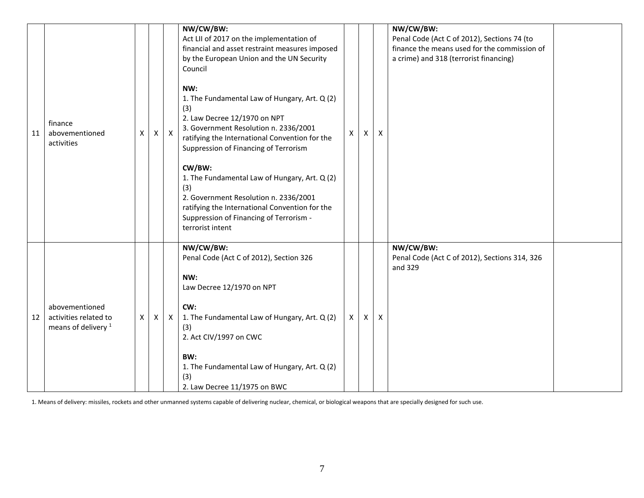| 11 | finance<br>abovementioned<br>activities                                   | X            | $\pmb{\mathsf{X}}$ | $\mathsf{X}$ | NW/CW/BW:<br>Act LII of 2017 on the implementation of<br>financial and asset restraint measures imposed<br>by the European Union and the UN Security<br>Council<br>NW:<br>1. The Fundamental Law of Hungary, Art. Q (2)<br>(3)<br>2. Law Decree 12/1970 on NPT<br>3. Government Resolution n. 2336/2001<br>ratifying the International Convention for the<br>Suppression of Financing of Terrorism<br>CW/BW:<br>1. The Fundamental Law of Hungary, Art. Q (2)<br>(3)<br>2. Government Resolution n. 2336/2001<br>ratifying the International Convention for the<br>Suppression of Financing of Terrorism -<br>terrorist intent | X        | X | X | NW/CW/BW:<br>Penal Code (Act C of 2012), Sections 74 (to<br>finance the means used for the commission of<br>a crime) and 318 (terrorist financing) |  |
|----|---------------------------------------------------------------------------|--------------|--------------------|--------------|--------------------------------------------------------------------------------------------------------------------------------------------------------------------------------------------------------------------------------------------------------------------------------------------------------------------------------------------------------------------------------------------------------------------------------------------------------------------------------------------------------------------------------------------------------------------------------------------------------------------------------|----------|---|---|----------------------------------------------------------------------------------------------------------------------------------------------------|--|
| 12 | abovementioned<br>activities related to<br>means of delivery <sup>1</sup> | $\mathsf{X}$ | $\mathsf{X}$       | X            | NW/CW/BW:<br>Penal Code (Act C of 2012), Section 326<br>NW:<br>Law Decree 12/1970 on NPT<br>CW:<br>1. The Fundamental Law of Hungary, Art. Q (2)<br>(3)<br>2. Act CIV/1997 on CWC<br>BW:<br>1. The Fundamental Law of Hungary, Art. Q (2)<br>(3)<br>2. Law Decree 11/1975 on BWC                                                                                                                                                                                                                                                                                                                                               | $\times$ | X | X | NW/CW/BW:<br>Penal Code (Act C of 2012), Sections 314, 326<br>and 329                                                                              |  |

1. Means of delivery: missiles, rockets and other unmanned systems capable of delivering nuclear, chemical, or biological weapons that are specially designed for such use.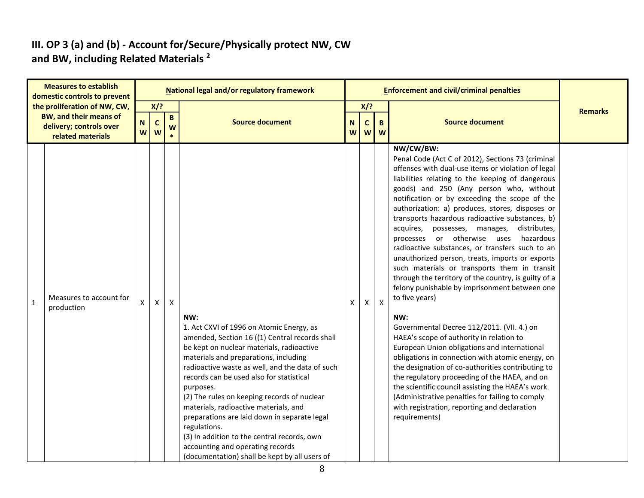#### **III. OP 3 (a) and (b) - Account for/Secure/Physically protect NW, CW and BW, including Related Materials <sup>2</sup>**

|              | <b>Measures to establish</b><br>domestic controls to prevent                                                  |                |                            |                      | <b>National legal and/or regulatory framework</b>                                                                                                                                                                                                                                                                                                                                                                                                                                                                                                                                               |        |                                   |              | <b>Enforcement and civil/criminal penalties</b>                                                                                                                                                                                                                                                                                                                                                                                                                                                                                                                                                                                                                                                                                                                                                                                                                                                                                                                                                                                                                                                                                                                                                                                          |                |
|--------------|---------------------------------------------------------------------------------------------------------------|----------------|----------------------------|----------------------|-------------------------------------------------------------------------------------------------------------------------------------------------------------------------------------------------------------------------------------------------------------------------------------------------------------------------------------------------------------------------------------------------------------------------------------------------------------------------------------------------------------------------------------------------------------------------------------------------|--------|-----------------------------------|--------------|------------------------------------------------------------------------------------------------------------------------------------------------------------------------------------------------------------------------------------------------------------------------------------------------------------------------------------------------------------------------------------------------------------------------------------------------------------------------------------------------------------------------------------------------------------------------------------------------------------------------------------------------------------------------------------------------------------------------------------------------------------------------------------------------------------------------------------------------------------------------------------------------------------------------------------------------------------------------------------------------------------------------------------------------------------------------------------------------------------------------------------------------------------------------------------------------------------------------------------------|----------------|
|              | the proliferation of NW, CW,<br><b>BW, and their means of</b><br>delivery; controls over<br>related materials | ${\sf N}$<br>W | $X$ /?<br>$\mathbf c$<br>W | $\, {\bf B} \,$<br>W | <b>Source document</b>                                                                                                                                                                                                                                                                                                                                                                                                                                                                                                                                                                          | N<br>W | $X$ ?<br>$\mathsf{C}$<br><b>W</b> | B<br>W       | <b>Source document</b>                                                                                                                                                                                                                                                                                                                                                                                                                                                                                                                                                                                                                                                                                                                                                                                                                                                                                                                                                                                                                                                                                                                                                                                                                   | <b>Remarks</b> |
| $\mathbf{1}$ | Measures to account for<br>production                                                                         | X              | $\mathsf{x}$               | $\mathsf{X}$         | NW:<br>1. Act CXVI of 1996 on Atomic Energy, as<br>amended, Section 16 ((1) Central records shall<br>be kept on nuclear materials, radioactive<br>materials and preparations, including<br>radioactive waste as well, and the data of such<br>records can be used also for statistical<br>purposes.<br>(2) The rules on keeping records of nuclear<br>materials, radioactive materials, and<br>preparations are laid down in separate legal<br>regulations.<br>(3) In addition to the central records, own<br>accounting and operating records<br>(documentation) shall be kept by all users of | X      | X                                 | $\mathsf{X}$ | NW/CW/BW:<br>Penal Code (Act C of 2012), Sections 73 (criminal<br>offenses with dual-use items or violation of legal<br>liabilities relating to the keeping of dangerous<br>goods) and 250 (Any person who, without<br>notification or by exceeding the scope of the<br>authorization: a) produces, stores, disposes or<br>transports hazardous radioactive substances, b)<br>acquires, possesses, manages,<br>distributes,<br>processes or otherwise uses hazardous<br>radioactive substances, or transfers such to an<br>unauthorized person, treats, imports or exports<br>such materials or transports them in transit<br>through the territory of the country, is guilty of a<br>felony punishable by imprisonment between one<br>to five years)<br>NW:<br>Governmental Decree 112/2011. (VII. 4.) on<br>HAEA's scope of authority in relation to<br>European Union obligations and international<br>obligations in connection with atomic energy, on<br>the designation of co-authorities contributing to<br>the regulatory proceeding of the HAEA, and on<br>the scientific council assisting the HAEA's work<br>(Administrative penalties for failing to comply<br>with registration, reporting and declaration<br>requirements) |                |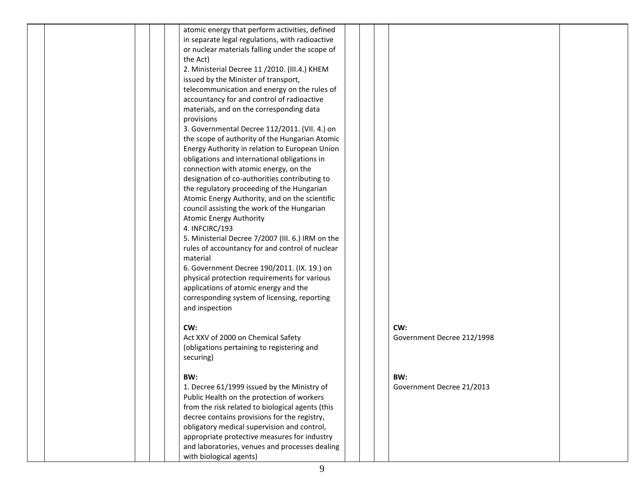|  | atomic energy that perform activities, defined                                              |  |                            |  |
|--|---------------------------------------------------------------------------------------------|--|----------------------------|--|
|  | in separate legal regulations, with radioactive                                             |  |                            |  |
|  | or nuclear materials falling under the scope of                                             |  |                            |  |
|  | the Act)                                                                                    |  |                            |  |
|  | 2. Ministerial Decree 11 /2010. (III.4.) KHEM                                               |  |                            |  |
|  | issued by the Minister of transport,                                                        |  |                            |  |
|  | telecommunication and energy on the rules of                                                |  |                            |  |
|  | accountancy for and control of radioactive                                                  |  |                            |  |
|  | materials, and on the corresponding data                                                    |  |                            |  |
|  | provisions                                                                                  |  |                            |  |
|  | 3. Governmental Decree 112/2011. (VII. 4.) on                                               |  |                            |  |
|  | the scope of authority of the Hungarian Atomic                                              |  |                            |  |
|  |                                                                                             |  |                            |  |
|  | Energy Authority in relation to European Union                                              |  |                            |  |
|  | obligations and international obligations in                                                |  |                            |  |
|  | connection with atomic energy, on the                                                       |  |                            |  |
|  | designation of co-authorities contributing to                                               |  |                            |  |
|  | the regulatory proceeding of the Hungarian                                                  |  |                            |  |
|  | Atomic Energy Authority, and on the scientific                                              |  |                            |  |
|  | council assisting the work of the Hungarian                                                 |  |                            |  |
|  | <b>Atomic Energy Authority</b>                                                              |  |                            |  |
|  | 4. INFCIRC/193                                                                              |  |                            |  |
|  | 5. Ministerial Decree 7/2007 (III. 6.) IRM on the                                           |  |                            |  |
|  | rules of accountancy for and control of nuclear                                             |  |                            |  |
|  | material                                                                                    |  |                            |  |
|  | 6. Government Decree 190/2011. (IX. 19.) on                                                 |  |                            |  |
|  | physical protection requirements for various                                                |  |                            |  |
|  | applications of atomic energy and the                                                       |  |                            |  |
|  | corresponding system of licensing, reporting                                                |  |                            |  |
|  | and inspection                                                                              |  |                            |  |
|  |                                                                                             |  |                            |  |
|  | CW:                                                                                         |  | CW:                        |  |
|  | Act XXV of 2000 on Chemical Safety                                                          |  | Government Decree 212/1998 |  |
|  | (obligations pertaining to registering and                                                  |  |                            |  |
|  | securing)                                                                                   |  |                            |  |
|  |                                                                                             |  |                            |  |
|  | BW:                                                                                         |  | BW:                        |  |
|  | 1. Decree 61/1999 issued by the Ministry of                                                 |  | Government Decree 21/2013  |  |
|  | Public Health on the protection of workers                                                  |  |                            |  |
|  | from the risk related to biological agents (this                                            |  |                            |  |
|  | decree contains provisions for the registry,                                                |  |                            |  |
|  | obligatory medical supervision and control,<br>appropriate protective measures for industry |  |                            |  |
|  |                                                                                             |  |                            |  |
|  | and laboratories, venues and processes dealing                                              |  |                            |  |
|  | with biological agents)                                                                     |  |                            |  |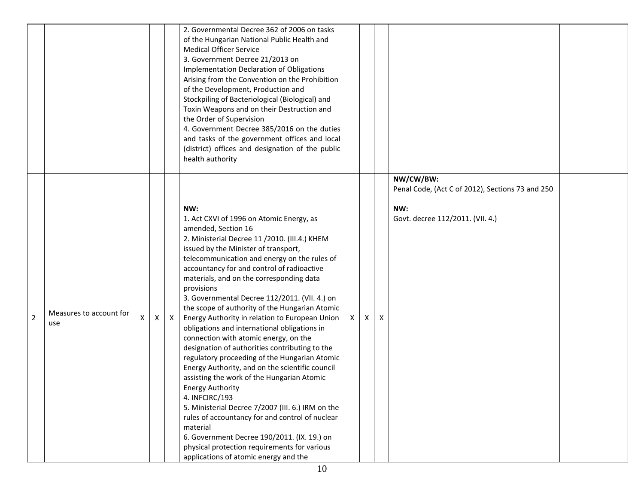|                |                                |   |   |              | 2. Governmental Decree 362 of 2006 on tasks<br>of the Hungarian National Public Health and<br><b>Medical Officer Service</b><br>3. Government Decree 21/2013 on<br>Implementation Declaration of Obligations<br>Arising from the Convention on the Prohibition<br>of the Development, Production and<br>Stockpiling of Bacteriological (Biological) and<br>Toxin Weapons and on their Destruction and<br>the Order of Supervision<br>4. Government Decree 385/2016 on the duties<br>and tasks of the government offices and local<br>(district) offices and designation of the public<br>health authority                                                                                                                                                                                                                                                                                                                                                                                                                                                                          |   |   |   |                                                                                                          |  |
|----------------|--------------------------------|---|---|--------------|------------------------------------------------------------------------------------------------------------------------------------------------------------------------------------------------------------------------------------------------------------------------------------------------------------------------------------------------------------------------------------------------------------------------------------------------------------------------------------------------------------------------------------------------------------------------------------------------------------------------------------------------------------------------------------------------------------------------------------------------------------------------------------------------------------------------------------------------------------------------------------------------------------------------------------------------------------------------------------------------------------------------------------------------------------------------------------|---|---|---|----------------------------------------------------------------------------------------------------------|--|
| $\overline{2}$ | Measures to account for<br>use | Χ | X | $\mathsf{X}$ | NW:<br>1. Act CXVI of 1996 on Atomic Energy, as<br>amended, Section 16<br>2. Ministerial Decree 11 /2010. (III.4.) KHEM<br>issued by the Minister of transport,<br>telecommunication and energy on the rules of<br>accountancy for and control of radioactive<br>materials, and on the corresponding data<br>provisions<br>3. Governmental Decree 112/2011. (VII. 4.) on<br>the scope of authority of the Hungarian Atomic<br>Energy Authority in relation to European Union<br>obligations and international obligations in<br>connection with atomic energy, on the<br>designation of authorities contributing to the<br>regulatory proceeding of the Hungarian Atomic<br>Energy Authority, and on the scientific council<br>assisting the work of the Hungarian Atomic<br><b>Energy Authority</b><br>4. INFCIRC/193<br>5. Ministerial Decree 7/2007 (III. 6.) IRM on the<br>rules of accountancy for and control of nuclear<br>material<br>6. Government Decree 190/2011. (IX. 19.) on<br>physical protection requirements for various<br>applications of atomic energy and the | X | X | X | NW/CW/BW:<br>Penal Code, (Act C of 2012), Sections 73 and 250<br>NW:<br>Govt. decree 112/2011. (VII. 4.) |  |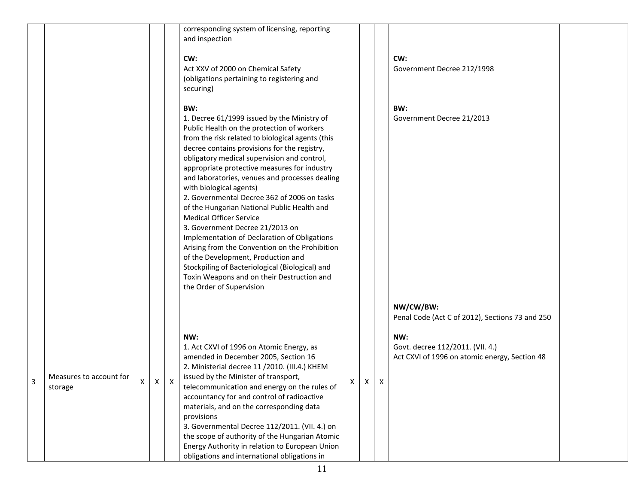|   |                                    |   |   |   | corresponding system of licensing, reporting<br>and inspection<br>CW:<br>Act XXV of 2000 on Chemical Safety<br>(obligations pertaining to registering and<br>securing)                                                                                                                                                                                                                                                                                                                                                                                                                                                                                                                                                                                                                                                   |   |   | CW:<br>Government Decree 212/1998                                                                                                                        |  |
|---|------------------------------------|---|---|---|--------------------------------------------------------------------------------------------------------------------------------------------------------------------------------------------------------------------------------------------------------------------------------------------------------------------------------------------------------------------------------------------------------------------------------------------------------------------------------------------------------------------------------------------------------------------------------------------------------------------------------------------------------------------------------------------------------------------------------------------------------------------------------------------------------------------------|---|---|----------------------------------------------------------------------------------------------------------------------------------------------------------|--|
|   |                                    |   |   |   | BW:<br>1. Decree 61/1999 issued by the Ministry of<br>Public Health on the protection of workers<br>from the risk related to biological agents (this<br>decree contains provisions for the registry,<br>obligatory medical supervision and control,<br>appropriate protective measures for industry<br>and laboratories, venues and processes dealing<br>with biological agents)<br>2. Governmental Decree 362 of 2006 on tasks<br>of the Hungarian National Public Health and<br><b>Medical Officer Service</b><br>3. Government Decree 21/2013 on<br>Implementation of Declaration of Obligations<br>Arising from the Convention on the Prohibition<br>of the Development, Production and<br>Stockpiling of Bacteriological (Biological) and<br>Toxin Weapons and on their Destruction and<br>the Order of Supervision |   |   | BW:<br>Government Decree 21/2013                                                                                                                         |  |
| 3 | Measures to account for<br>storage | X | X | X | NW:<br>1. Act CXVI of 1996 on Atomic Energy, as<br>amended in December 2005, Section 16<br>2. Ministerial decree 11 /2010. (III.4.) KHEM<br>issued by the Minister of transport,<br>telecommunication and energy on the rules of $\begin{bmatrix} x \\ y \end{bmatrix}$<br>accountancy for and control of radioactive<br>materials, and on the corresponding data<br>provisions<br>3. Governmental Decree 112/2011. (VII. 4.) on<br>the scope of authority of the Hungarian Atomic<br>Energy Authority in relation to European Union<br>obligations and international obligations in                                                                                                                                                                                                                                     | X | X | NW/CW/BW:<br>Penal Code (Act C of 2012), Sections 73 and 250<br>NW:<br>Govt. decree 112/2011. (VII. 4.)<br>Act CXVI of 1996 on atomic energy, Section 48 |  |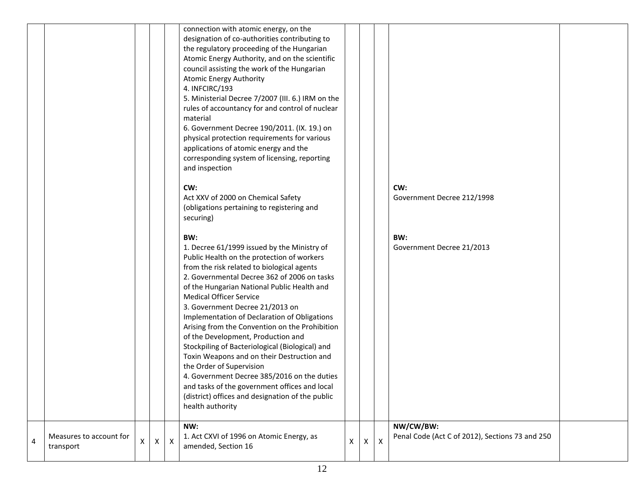|   |                                      |   |              |                | connection with atomic energy, on the<br>designation of co-authorities contributing to<br>the regulatory proceeding of the Hungarian<br>Atomic Energy Authority, and on the scientific<br>council assisting the work of the Hungarian<br><b>Atomic Energy Authority</b><br>4. INFCIRC/193<br>5. Ministerial Decree 7/2007 (III. 6.) IRM on the<br>rules of accountancy for and control of nuclear<br>material<br>6. Government Decree 190/2011. (IX. 19.) on<br>physical protection requirements for various<br>applications of atomic energy and the<br>corresponding system of licensing, reporting<br>and inspection                                                                                                                                        |   |              |                           |                                                              |  |
|---|--------------------------------------|---|--------------|----------------|----------------------------------------------------------------------------------------------------------------------------------------------------------------------------------------------------------------------------------------------------------------------------------------------------------------------------------------------------------------------------------------------------------------------------------------------------------------------------------------------------------------------------------------------------------------------------------------------------------------------------------------------------------------------------------------------------------------------------------------------------------------|---|--------------|---------------------------|--------------------------------------------------------------|--|
|   |                                      |   |              |                | CW:<br>Act XXV of 2000 on Chemical Safety<br>(obligations pertaining to registering and<br>securing)                                                                                                                                                                                                                                                                                                                                                                                                                                                                                                                                                                                                                                                           |   |              |                           | CW:<br>Government Decree 212/1998                            |  |
|   |                                      |   |              |                | BW:<br>1. Decree 61/1999 issued by the Ministry of<br>Public Health on the protection of workers<br>from the risk related to biological agents<br>2. Governmental Decree 362 of 2006 on tasks<br>of the Hungarian National Public Health and<br><b>Medical Officer Service</b><br>3. Government Decree 21/2013 on<br>Implementation of Declaration of Obligations<br>Arising from the Convention on the Prohibition<br>of the Development, Production and<br>Stockpiling of Bacteriological (Biological) and<br>Toxin Weapons and on their Destruction and<br>the Order of Supervision<br>4. Government Decree 385/2016 on the duties<br>and tasks of the government offices and local<br>(district) offices and designation of the public<br>health authority |   |              |                           | BW:<br>Government Decree 21/2013                             |  |
| 4 | Measures to account for<br>transport | X | $\mathsf{X}$ | $\pmb{\times}$ | NW:<br>1. Act CXVI of 1996 on Atomic Energy, as<br>amended, Section 16                                                                                                                                                                                                                                                                                                                                                                                                                                                                                                                                                                                                                                                                                         | X | $\mathsf{X}$ | $\boldsymbol{\mathsf{X}}$ | NW/CW/BW:<br>Penal Code (Act C of 2012), Sections 73 and 250 |  |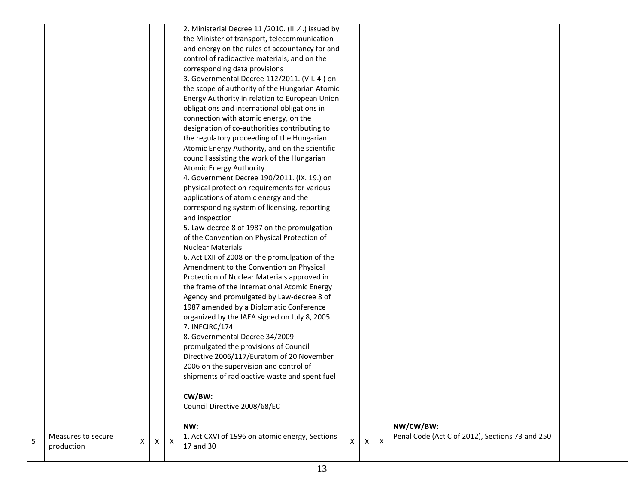|   |                    |   |   |   | 2. Ministerial Decree 11 /2010. (III.4.) issued by                                      |   |   |   |                                                 |  |
|---|--------------------|---|---|---|-----------------------------------------------------------------------------------------|---|---|---|-------------------------------------------------|--|
|   |                    |   |   |   | the Minister of transport, telecommunication                                            |   |   |   |                                                 |  |
|   |                    |   |   |   | and energy on the rules of accountancy for and                                          |   |   |   |                                                 |  |
|   |                    |   |   |   | control of radioactive materials, and on the                                            |   |   |   |                                                 |  |
|   |                    |   |   |   | corresponding data provisions                                                           |   |   |   |                                                 |  |
|   |                    |   |   |   | 3. Governmental Decree 112/2011. (VII. 4.) on                                           |   |   |   |                                                 |  |
|   |                    |   |   |   | the scope of authority of the Hungarian Atomic                                          |   |   |   |                                                 |  |
|   |                    |   |   |   | Energy Authority in relation to European Union                                          |   |   |   |                                                 |  |
|   |                    |   |   |   | obligations and international obligations in                                            |   |   |   |                                                 |  |
|   |                    |   |   |   | connection with atomic energy, on the                                                   |   |   |   |                                                 |  |
|   |                    |   |   |   | designation of co-authorities contributing to                                           |   |   |   |                                                 |  |
|   |                    |   |   |   | the regulatory proceeding of the Hungarian                                              |   |   |   |                                                 |  |
|   |                    |   |   |   | Atomic Energy Authority, and on the scientific                                          |   |   |   |                                                 |  |
|   |                    |   |   |   | council assisting the work of the Hungarian                                             |   |   |   |                                                 |  |
|   |                    |   |   |   | <b>Atomic Energy Authority</b>                                                          |   |   |   |                                                 |  |
|   |                    |   |   |   | 4. Government Decree 190/2011. (IX. 19.) on                                             |   |   |   |                                                 |  |
|   |                    |   |   |   | physical protection requirements for various                                            |   |   |   |                                                 |  |
|   |                    |   |   |   | applications of atomic energy and the                                                   |   |   |   |                                                 |  |
|   |                    |   |   |   | corresponding system of licensing, reporting                                            |   |   |   |                                                 |  |
|   |                    |   |   |   | and inspection                                                                          |   |   |   |                                                 |  |
|   |                    |   |   |   | 5. Law-decree 8 of 1987 on the promulgation                                             |   |   |   |                                                 |  |
|   |                    |   |   |   | of the Convention on Physical Protection of                                             |   |   |   |                                                 |  |
|   |                    |   |   |   | <b>Nuclear Materials</b>                                                                |   |   |   |                                                 |  |
|   |                    |   |   |   | 6. Act LXII of 2008 on the promulgation of the                                          |   |   |   |                                                 |  |
|   |                    |   |   |   | Amendment to the Convention on Physical                                                 |   |   |   |                                                 |  |
|   |                    |   |   |   | Protection of Nuclear Materials approved in                                             |   |   |   |                                                 |  |
|   |                    |   |   |   | the frame of the International Atomic Energy                                            |   |   |   |                                                 |  |
|   |                    |   |   |   | Agency and promulgated by Law-decree 8 of                                               |   |   |   |                                                 |  |
|   |                    |   |   |   | 1987 amended by a Diplomatic Conference                                                 |   |   |   |                                                 |  |
|   |                    |   |   |   | organized by the IAEA signed on July 8, 2005                                            |   |   |   |                                                 |  |
|   |                    |   |   |   | 7. INFCIRC/174                                                                          |   |   |   |                                                 |  |
|   |                    |   |   |   | 8. Governmental Decree 34/2009                                                          |   |   |   |                                                 |  |
|   |                    |   |   |   | promulgated the provisions of Council                                                   |   |   |   |                                                 |  |
|   |                    |   |   |   | Directive 2006/117/Euratom of 20 November                                               |   |   |   |                                                 |  |
|   |                    |   |   |   |                                                                                         |   |   |   |                                                 |  |
|   |                    |   |   |   | 2006 on the supervision and control of<br>shipments of radioactive waste and spent fuel |   |   |   |                                                 |  |
|   |                    |   |   |   |                                                                                         |   |   |   |                                                 |  |
|   |                    |   |   |   | CW/BW:                                                                                  |   |   |   |                                                 |  |
|   |                    |   |   |   | Council Directive 2008/68/EC                                                            |   |   |   |                                                 |  |
|   |                    |   |   |   |                                                                                         |   |   |   |                                                 |  |
|   |                    |   |   |   | NW:                                                                                     |   |   |   | NW/CW/BW:                                       |  |
|   | Measures to secure |   |   |   | 1. Act CXVI of 1996 on atomic energy, Sections                                          |   |   |   | Penal Code (Act C of 2012), Sections 73 and 250 |  |
| 5 | production         | х | X | X | 17 and 30                                                                               | X | X | Х |                                                 |  |
|   |                    |   |   |   |                                                                                         |   |   |   |                                                 |  |
|   |                    |   |   |   |                                                                                         |   |   |   |                                                 |  |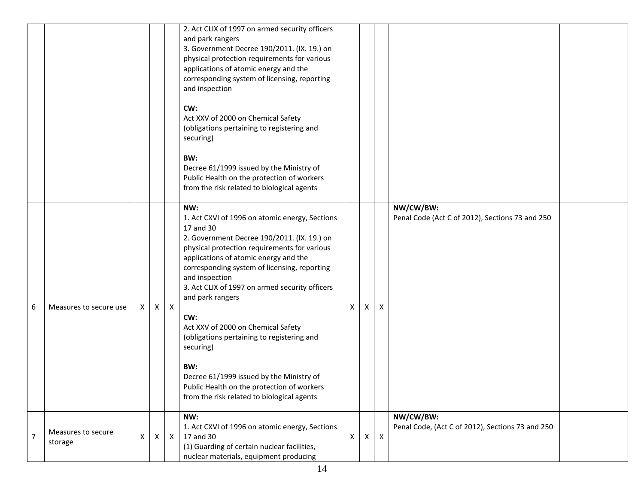|                |                               |    |              |              | 2. Act CLIX of 1997 on armed security officers<br>and park rangers<br>3. Government Decree 190/2011. (IX. 19.) on<br>physical protection requirements for various<br>applications of atomic energy and the<br>corresponding system of licensing, reporting<br>and inspection<br>CW:<br>Act XXV of 2000 on Chemical Safety<br>(obligations pertaining to registering and<br>securing)<br>BW:<br>Decree 61/1999 issued by the Ministry of<br>Public Health on the protection of workers                                                                                                                     |    |   |                           |                                                               |  |
|----------------|-------------------------------|----|--------------|--------------|-----------------------------------------------------------------------------------------------------------------------------------------------------------------------------------------------------------------------------------------------------------------------------------------------------------------------------------------------------------------------------------------------------------------------------------------------------------------------------------------------------------------------------------------------------------------------------------------------------------|----|---|---------------------------|---------------------------------------------------------------|--|
|                |                               |    |              |              | from the risk related to biological agents                                                                                                                                                                                                                                                                                                                                                                                                                                                                                                                                                                |    |   |                           |                                                               |  |
| 6              | Measures to secure use        | X. | $\mathsf{X}$ | $\mathsf{X}$ | NW:<br>1. Act CXVI of 1996 on atomic energy, Sections<br>17 and 30<br>2. Government Decree 190/2011. (IX. 19.) on<br>physical protection requirements for various<br>applications of atomic energy and the<br>corresponding system of licensing, reporting<br>and inspection<br>3. Act CLIX of 1997 on armed security officers<br>and park rangers<br>CW:<br>Act XXV of 2000 on Chemical Safety<br>(obligations pertaining to registering and<br>securing)<br>BW:<br>Decree 61/1999 issued by the Ministry of<br>Public Health on the protection of workers<br>from the risk related to biological agents | X. | X | Χ                         | NW/CW/BW:<br>Penal Code (Act C of 2012), Sections 73 and 250  |  |
| $\overline{7}$ | Measures to secure<br>storage | X  | X            | $\mathsf{X}$ | NW:<br>1. Act CXVI of 1996 on atomic energy, Sections<br>17 and 30<br>(1) Guarding of certain nuclear facilities,<br>nuclear materials, equipment producing                                                                                                                                                                                                                                                                                                                                                                                                                                               | X  | X | $\boldsymbol{\mathsf{X}}$ | NW/CW/BW:<br>Penal Code, (Act C of 2012), Sections 73 and 250 |  |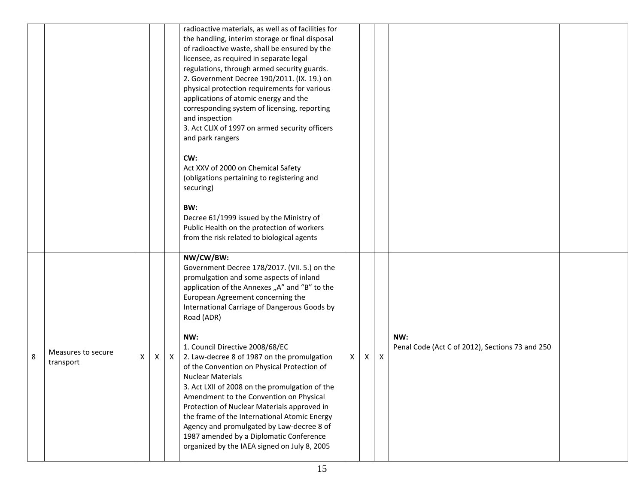|   |                                 |   |                |              | radioactive materials, as well as of facilities for<br>the handling, interim storage or final disposal<br>of radioactive waste, shall be ensured by the<br>licensee, as required in separate legal<br>regulations, through armed security guards.<br>2. Government Decree 190/2011. (IX. 19.) on<br>physical protection requirements for various<br>applications of atomic energy and the<br>corresponding system of licensing, reporting<br>and inspection<br>3. Act CLIX of 1997 on armed security officers<br>and park rangers<br>CW:<br>Act XXV of 2000 on Chemical Safety<br>(obligations pertaining to registering and<br>securing)<br>BW:<br>Decree 61/1999 issued by the Ministry of<br>Public Health on the protection of workers<br>from the risk related to biological agents |   |              |   |                                                        |  |
|---|---------------------------------|---|----------------|--------------|------------------------------------------------------------------------------------------------------------------------------------------------------------------------------------------------------------------------------------------------------------------------------------------------------------------------------------------------------------------------------------------------------------------------------------------------------------------------------------------------------------------------------------------------------------------------------------------------------------------------------------------------------------------------------------------------------------------------------------------------------------------------------------------|---|--------------|---|--------------------------------------------------------|--|
| 8 | Measures to secure<br>transport | Χ | $\mathsf{X}^-$ | $\mathsf{X}$ | NW/CW/BW:<br>Government Decree 178/2017. (VII. 5.) on the<br>promulgation and some aspects of inland<br>application of the Annexes "A" and "B" to the<br>European Agreement concerning the<br>International Carriage of Dangerous Goods by<br>Road (ADR)<br>NW:<br>1. Council Directive 2008/68/EC<br>2. Law-decree 8 of 1987 on the promulgation<br>of the Convention on Physical Protection of<br><b>Nuclear Materials</b><br>3. Act LXII of 2008 on the promulgation of the<br>Amendment to the Convention on Physical<br>Protection of Nuclear Materials approved in<br>the frame of the International Atomic Energy<br>Agency and promulgated by Law-decree 8 of<br>1987 amended by a Diplomatic Conference<br>organized by the IAEA signed on July 8, 2005                         | X | $\mathsf{X}$ | X | NW:<br>Penal Code (Act C of 2012), Sections 73 and 250 |  |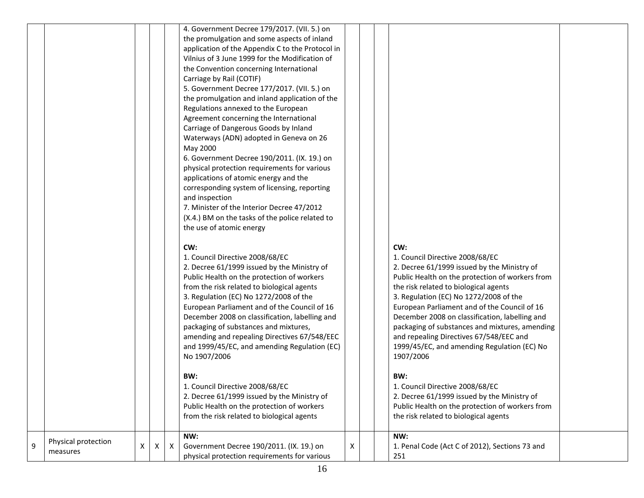|   |                                 |   |   |   | 4. Government Decree 179/2017. (VII. 5.) on<br>the promulgation and some aspects of inland<br>application of the Appendix C to the Protocol in<br>Vilnius of 3 June 1999 for the Modification of<br>the Convention concerning International<br>Carriage by Rail (COTIF)<br>5. Government Decree 177/2017. (VII. 5.) on<br>the promulgation and inland application of the<br>Regulations annexed to the European<br>Agreement concerning the International<br>Carriage of Dangerous Goods by Inland<br>Waterways (ADN) adopted in Geneva on 26<br>May 2000<br>6. Government Decree 190/2011. (IX. 19.) on<br>physical protection requirements for various<br>applications of atomic energy and the<br>corresponding system of licensing, reporting<br>and inspection<br>7. Minister of the Interior Decree 47/2012<br>(X.4.) BM on the tasks of the police related to<br>the use of atomic energy |   |                                                                                                                                                                                                                                                                                                                                                                                                                                                                                                                                                                                                                                                                             |  |
|---|---------------------------------|---|---|---|--------------------------------------------------------------------------------------------------------------------------------------------------------------------------------------------------------------------------------------------------------------------------------------------------------------------------------------------------------------------------------------------------------------------------------------------------------------------------------------------------------------------------------------------------------------------------------------------------------------------------------------------------------------------------------------------------------------------------------------------------------------------------------------------------------------------------------------------------------------------------------------------------|---|-----------------------------------------------------------------------------------------------------------------------------------------------------------------------------------------------------------------------------------------------------------------------------------------------------------------------------------------------------------------------------------------------------------------------------------------------------------------------------------------------------------------------------------------------------------------------------------------------------------------------------------------------------------------------------|--|
|   |                                 |   |   |   | CW:<br>1. Council Directive 2008/68/EC<br>2. Decree 61/1999 issued by the Ministry of<br>Public Health on the protection of workers<br>from the risk related to biological agents<br>3. Regulation (EC) No 1272/2008 of the<br>European Parliament and of the Council of 16<br>December 2008 on classification, labelling and<br>packaging of substances and mixtures,<br>amending and repealing Directives 67/548/EEC<br>and 1999/45/EC, and amending Regulation (EC)<br>No 1907/2006<br>BW:<br>1. Council Directive 2008/68/EC<br>2. Decree 61/1999 issued by the Ministry of<br>Public Health on the protection of workers<br>from the risk related to biological agents                                                                                                                                                                                                                      |   | CW:<br>1. Council Directive 2008/68/EC<br>2. Decree 61/1999 issued by the Ministry of<br>Public Health on the protection of workers from<br>the risk related to biological agents<br>3. Regulation (EC) No 1272/2008 of the<br>European Parliament and of the Council of 16<br>December 2008 on classification, labelling and<br>packaging of substances and mixtures, amending<br>and repealing Directives 67/548/EEC and<br>1999/45/EC, and amending Regulation (EC) No<br>1907/2006<br>BW:<br>1. Council Directive 2008/68/EC<br>2. Decree 61/1999 issued by the Ministry of<br>Public Health on the protection of workers from<br>the risk related to biological agents |  |
| 9 | Physical protection<br>measures | X | X | Х | NW:<br>Government Decree 190/2011. (IX. 19.) on<br>physical protection requirements for various                                                                                                                                                                                                                                                                                                                                                                                                                                                                                                                                                                                                                                                                                                                                                                                                  | x | NW:<br>1. Penal Code (Act C of 2012), Sections 73 and<br>251                                                                                                                                                                                                                                                                                                                                                                                                                                                                                                                                                                                                                |  |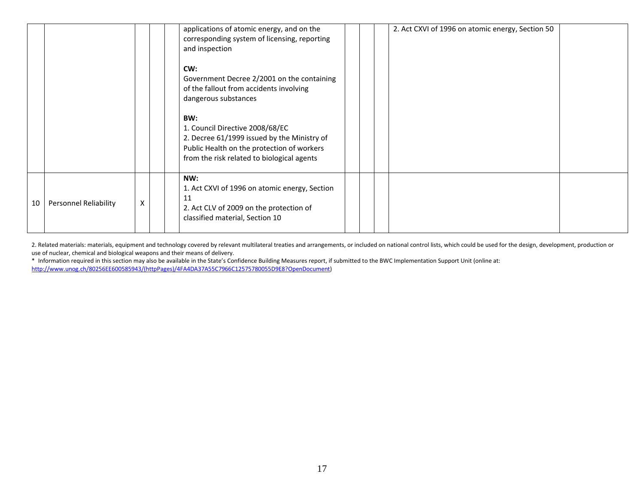|    |                              |   | applications of atomic energy, and on the<br>corresponding system of licensing, reporting<br>and inspection<br>CW:<br>Government Decree 2/2001 on the containing<br>of the fallout from accidents involving<br>dangerous substances<br>BW:<br>1. Council Directive 2008/68/EC<br>2. Decree 61/1999 issued by the Ministry of<br>Public Health on the protection of workers<br>from the risk related to biological agents |  | 2. Act CXVI of 1996 on atomic energy, Section 50 |
|----|------------------------------|---|--------------------------------------------------------------------------------------------------------------------------------------------------------------------------------------------------------------------------------------------------------------------------------------------------------------------------------------------------------------------------------------------------------------------------|--|--------------------------------------------------|
| 10 | <b>Personnel Reliability</b> | X | NW:<br>1. Act CXVI of 1996 on atomic energy, Section<br>11<br>2. Act CLV of 2009 on the protection of<br>classified material, Section 10                                                                                                                                                                                                                                                                                 |  |                                                  |

2. Related materials: materials, equipment and technology covered by relevant multilateral treaties and arrangements, or included on national control lists, which could be used for the design, development, production or use of nuclear, chemical and biological weapons and their means of delivery.

\* Information required in this section may also be available in the State's Confidence Building Measures report, if submitted to the BWC Implementation Support Unit (online at: [http://www.unog.ch/80256EE600585943/\(httpPages\)/4FA4DA37A55C7966C12575780055D9E8?OpenDocument\)](http://www.unog.ch/80256EE600585943/(httpPages)/4FA4DA37A55C7966C12575780055D9E8?OpenDocument)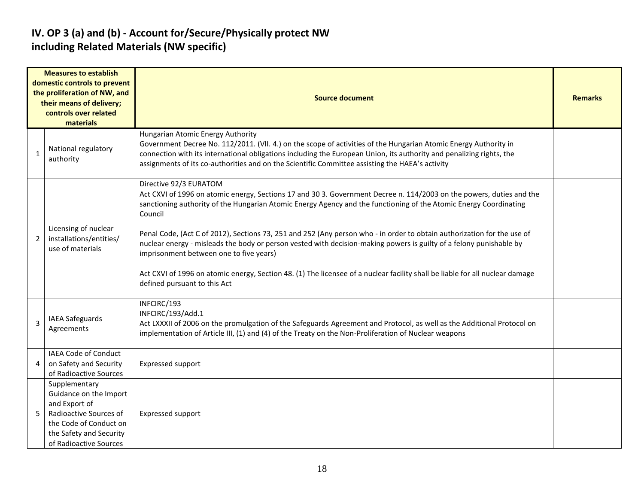#### **IV. OP 3 (a) and (b) - Account for/Secure/Physically protect NW including Related Materials (NW specific)**

|              | <b>Measures to establish</b><br>domestic controls to prevent<br>the proliferation of NW, and<br>their means of delivery;<br>controls over related<br>materials    | <b>Source document</b>                                                                                                                                                                                                                                                                                                                                                                                                                                                                                                                                                                                                                                                                                                                      |  |  |  |  |  |  |  |
|--------------|-------------------------------------------------------------------------------------------------------------------------------------------------------------------|---------------------------------------------------------------------------------------------------------------------------------------------------------------------------------------------------------------------------------------------------------------------------------------------------------------------------------------------------------------------------------------------------------------------------------------------------------------------------------------------------------------------------------------------------------------------------------------------------------------------------------------------------------------------------------------------------------------------------------------------|--|--|--|--|--|--|--|
| $\mathbf{1}$ | National regulatory<br>authority                                                                                                                                  | Hungarian Atomic Energy Authority<br>Government Decree No. 112/2011. (VII. 4.) on the scope of activities of the Hungarian Atomic Energy Authority in<br>connection with its international obligations including the European Union, its authority and penalizing rights, the<br>assignments of its co-authorities and on the Scientific Committee assisting the HAEA's activity                                                                                                                                                                                                                                                                                                                                                            |  |  |  |  |  |  |  |
| 2            | Licensing of nuclear<br>installations/entities/<br>use of materials                                                                                               | Directive 92/3 EURATOM<br>Act CXVI of 1996 on atomic energy, Sections 17 and 30 3. Government Decree n. 114/2003 on the powers, duties and the<br>sanctioning authority of the Hungarian Atomic Energy Agency and the functioning of the Atomic Energy Coordinating<br>Council<br>Penal Code, (Act C of 2012), Sections 73, 251 and 252 (Any person who - in order to obtain authorization for the use of<br>nuclear energy - misleads the body or person vested with decision-making powers is guilty of a felony punishable by<br>imprisonment between one to five years)<br>Act CXVI of 1996 on atomic energy, Section 48. (1) The licensee of a nuclear facility shall be liable for all nuclear damage<br>defined pursuant to this Act |  |  |  |  |  |  |  |
| 3            | <b>IAEA Safeguards</b><br>Agreements                                                                                                                              | INFCIRC/193<br>INFCIRC/193/Add.1<br>Act LXXXII of 2006 on the promulgation of the Safeguards Agreement and Protocol, as well as the Additional Protocol on<br>implementation of Article III, (1) and (4) of the Treaty on the Non-Proliferation of Nuclear weapons                                                                                                                                                                                                                                                                                                                                                                                                                                                                          |  |  |  |  |  |  |  |
|              | IAEA Code of Conduct<br>on Safety and Security<br>of Radioactive Sources                                                                                          | <b>Expressed support</b>                                                                                                                                                                                                                                                                                                                                                                                                                                                                                                                                                                                                                                                                                                                    |  |  |  |  |  |  |  |
|              | Supplementary<br>Guidance on the Import<br>and Export of<br>Radioactive Sources of<br>the Code of Conduct on<br>the Safety and Security<br>of Radioactive Sources | <b>Expressed support</b>                                                                                                                                                                                                                                                                                                                                                                                                                                                                                                                                                                                                                                                                                                                    |  |  |  |  |  |  |  |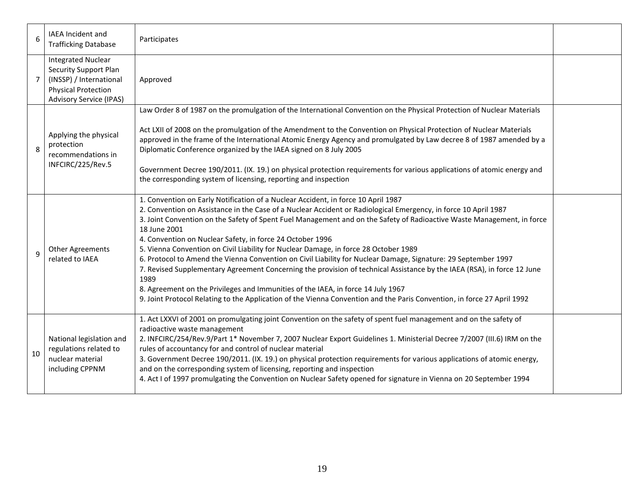| 6              | <b>IAEA</b> Incident and<br><b>Trafficking Database</b>                                                                                              | Participates                                                                                                                                                                                                                                                                                                                                                                                                                                                                                                                                                                                                                                                                                                                                                                                                                                                                                                                                                            |  |
|----------------|------------------------------------------------------------------------------------------------------------------------------------------------------|-------------------------------------------------------------------------------------------------------------------------------------------------------------------------------------------------------------------------------------------------------------------------------------------------------------------------------------------------------------------------------------------------------------------------------------------------------------------------------------------------------------------------------------------------------------------------------------------------------------------------------------------------------------------------------------------------------------------------------------------------------------------------------------------------------------------------------------------------------------------------------------------------------------------------------------------------------------------------|--|
| $\overline{7}$ | <b>Integrated Nuclear</b><br><b>Security Support Plan</b><br>(INSSP) / International<br><b>Physical Protection</b><br><b>Advisory Service (IPAS)</b> | Approved                                                                                                                                                                                                                                                                                                                                                                                                                                                                                                                                                                                                                                                                                                                                                                                                                                                                                                                                                                |  |
| 8              | Applying the physical<br>protection<br>recommendations in<br>INFCIRC/225/Rev.5                                                                       | Law Order 8 of 1987 on the promulgation of the International Convention on the Physical Protection of Nuclear Materials<br>Act LXII of 2008 on the promulgation of the Amendment to the Convention on Physical Protection of Nuclear Materials<br>approved in the frame of the International Atomic Energy Agency and promulgated by Law decree 8 of 1987 amended by a<br>Diplomatic Conference organized by the IAEA signed on 8 July 2005<br>Government Decree 190/2011. (IX. 19.) on physical protection requirements for various applications of atomic energy and<br>the corresponding system of licensing, reporting and inspection                                                                                                                                                                                                                                                                                                                               |  |
| $\mathbf{q}$   | <b>Other Agreements</b><br>related to IAEA                                                                                                           | 1. Convention on Early Notification of a Nuclear Accident, in force 10 April 1987<br>2. Convention on Assistance in the Case of a Nuclear Accident or Radiological Emergency, in force 10 April 1987<br>3. Joint Convention on the Safety of Spent Fuel Management and on the Safety of Radioactive Waste Management, in force<br>18 June 2001<br>4. Convention on Nuclear Safety, in force 24 October 1996<br>5. Vienna Convention on Civil Liability for Nuclear Damage, in force 28 October 1989<br>6. Protocol to Amend the Vienna Convention on Civil Liability for Nuclear Damage, Signature: 29 September 1997<br>7. Revised Supplementary Agreement Concerning the provision of technical Assistance by the IAEA (RSA), in force 12 June<br>1989<br>8. Agreement on the Privileges and Immunities of the IAEA, in force 14 July 1967<br>9. Joint Protocol Relating to the Application of the Vienna Convention and the Paris Convention, in force 27 April 1992 |  |
| 10             | National legislation and<br>regulations related to<br>nuclear material<br>including CPPNM                                                            | 1. Act LXXVI of 2001 on promulgating joint Convention on the safety of spent fuel management and on the safety of<br>radioactive waste management<br>2. INFCIRC/254/Rev.9/Part 1* November 7, 2007 Nuclear Export Guidelines 1. Ministerial Decree 7/2007 (III.6) IRM on the<br>rules of accountancy for and control of nuclear material<br>3. Government Decree 190/2011. (IX. 19.) on physical protection requirements for various applications of atomic energy,<br>and on the corresponding system of licensing, reporting and inspection<br>4. Act I of 1997 promulgating the Convention on Nuclear Safety opened for signature in Vienna on 20 September 1994                                                                                                                                                                                                                                                                                                     |  |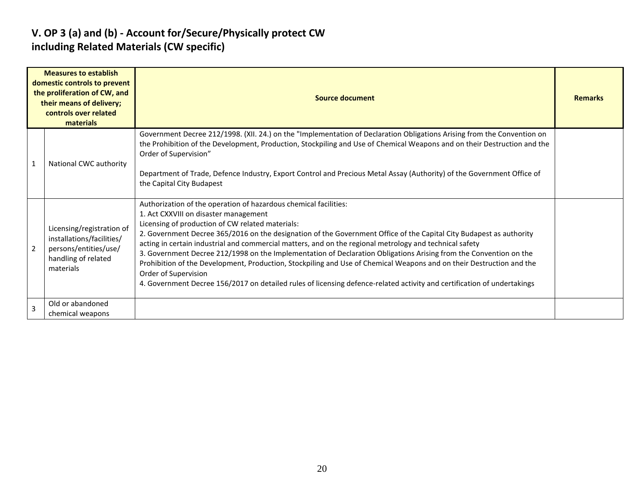#### **V. OP 3 (a) and (b) - Account for/Secure/Physically protect CW including Related Materials (CW specific)**

|                | <b>Measures to establish</b><br>domestic controls to prevent<br>the proliferation of CW, and<br>their means of delivery;<br>controls over related<br>materials | <b>Source document</b>                                                                                                                                                                                                                                                                                                                                                                                                                                                                                                                                                                                                                                                                                                                                                                          |  |  |  |  |  |  |  |
|----------------|----------------------------------------------------------------------------------------------------------------------------------------------------------------|-------------------------------------------------------------------------------------------------------------------------------------------------------------------------------------------------------------------------------------------------------------------------------------------------------------------------------------------------------------------------------------------------------------------------------------------------------------------------------------------------------------------------------------------------------------------------------------------------------------------------------------------------------------------------------------------------------------------------------------------------------------------------------------------------|--|--|--|--|--|--|--|
| -1             | National CWC authority                                                                                                                                         | Government Decree 212/1998. (XII. 24.) on the "Implementation of Declaration Obligations Arising from the Convention on<br>the Prohibition of the Development, Production, Stockpiling and Use of Chemical Weapons and on their Destruction and the<br>Order of Supervision"<br>Department of Trade, Defence Industry, Export Control and Precious Metal Assay (Authority) of the Government Office of<br>the Capital City Budapest                                                                                                                                                                                                                                                                                                                                                             |  |  |  |  |  |  |  |
| $\overline{2}$ | Licensing/registration of<br>installations/facilities/<br>persons/entities/use/<br>handling of related<br>materials                                            | Authorization of the operation of hazardous chemical facilities:<br>1. Act CXXVIII on disaster management<br>Licensing of production of CW related materials:<br>2. Government Decree 365/2016 on the designation of the Government Office of the Capital City Budapest as authority<br>acting in certain industrial and commercial matters, and on the regional metrology and technical safety<br>3. Government Decree 212/1998 on the Implementation of Declaration Obligations Arising from the Convention on the<br>Prohibition of the Development, Production, Stockpiling and Use of Chemical Weapons and on their Destruction and the<br>Order of Supervision<br>4. Government Decree 156/2017 on detailed rules of licensing defence-related activity and certification of undertakings |  |  |  |  |  |  |  |
| $\overline{3}$ | Old or abandoned<br>chemical weapons                                                                                                                           |                                                                                                                                                                                                                                                                                                                                                                                                                                                                                                                                                                                                                                                                                                                                                                                                 |  |  |  |  |  |  |  |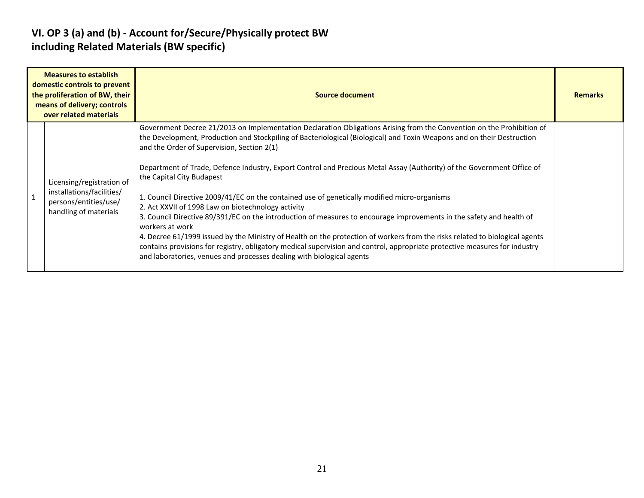#### **VI. OP 3 (a) and (b) - Account for/Secure/Physically protect BW including Related Materials (BW specific)**

| <b>Measures to establish</b><br>domestic controls to prevent<br>the proliferation of BW, their<br>means of delivery; controls<br>over related materials | Source document                                                                                                                                                                                                                                                                                                                                                                                                                                                                                                                                                                                                                                                                                                                                                                                                                                                                                                                                                                                                                                                                             | <b>Remarks</b> |
|---------------------------------------------------------------------------------------------------------------------------------------------------------|---------------------------------------------------------------------------------------------------------------------------------------------------------------------------------------------------------------------------------------------------------------------------------------------------------------------------------------------------------------------------------------------------------------------------------------------------------------------------------------------------------------------------------------------------------------------------------------------------------------------------------------------------------------------------------------------------------------------------------------------------------------------------------------------------------------------------------------------------------------------------------------------------------------------------------------------------------------------------------------------------------------------------------------------------------------------------------------------|----------------|
| Licensing/registration of<br>installations/facilities/<br>persons/entities/use/<br>handling of materials                                                | Government Decree 21/2013 on Implementation Declaration Obligations Arising from the Convention on the Prohibition of<br>the Development, Production and Stockpiling of Bacteriological (Biological) and Toxin Weapons and on their Destruction<br>and the Order of Supervision, Section 2(1)<br>Department of Trade, Defence Industry, Export Control and Precious Metal Assay (Authority) of the Government Office of<br>the Capital City Budapest<br>1. Council Directive 2009/41/EC on the contained use of genetically modified micro-organisms<br>2. Act XXVII of 1998 Law on biotechnology activity<br>3. Council Directive 89/391/EC on the introduction of measures to encourage improvements in the safety and health of<br>workers at work<br>4. Decree 61/1999 issued by the Ministry of Health on the protection of workers from the risks related to biological agents<br>contains provisions for registry, obligatory medical supervision and control, appropriate protective measures for industry<br>and laboratories, venues and processes dealing with biological agents |                |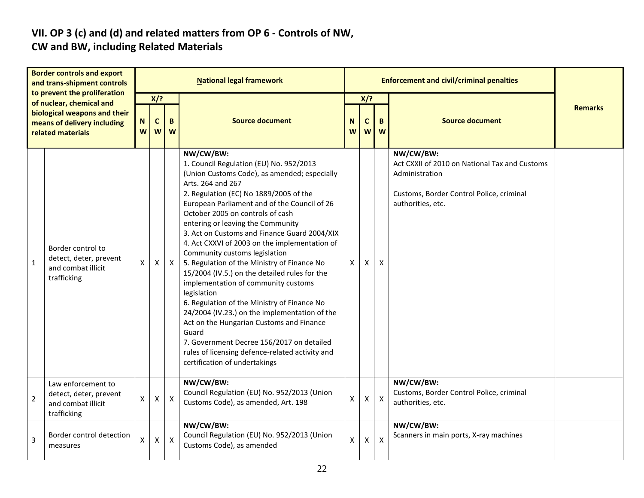# **VII. OP 3 (c) and (d) and related matters from OP 6 - Controls of NW,**

### **CW and BW, including Related Materials**

| <b>Border controls and export</b><br>and trans-shipment controls<br>to prevent the proliferation |                                                                                                              |                    |                         |                    | <b>National legal framework</b>                                                                                                                                                                                                                                                                                                                                                                                                                                                                                                                                                                                                                                                                                                                                                                                                                                            |                    |               | <b>Enforcement and civil/criminal penalties</b> |                                                                                                                                               |                |
|--------------------------------------------------------------------------------------------------|--------------------------------------------------------------------------------------------------------------|--------------------|-------------------------|--------------------|----------------------------------------------------------------------------------------------------------------------------------------------------------------------------------------------------------------------------------------------------------------------------------------------------------------------------------------------------------------------------------------------------------------------------------------------------------------------------------------------------------------------------------------------------------------------------------------------------------------------------------------------------------------------------------------------------------------------------------------------------------------------------------------------------------------------------------------------------------------------------|--------------------|---------------|-------------------------------------------------|-----------------------------------------------------------------------------------------------------------------------------------------------|----------------|
|                                                                                                  | of nuclear, chemical and<br>biological weapons and their<br>means of delivery including<br>related materials | N<br>W             | X/?<br>$\mathsf c$<br>W | B<br>W             | <b>Source document</b>                                                                                                                                                                                                                                                                                                                                                                                                                                                                                                                                                                                                                                                                                                                                                                                                                                                     | N<br>W             | X/?<br>C<br>W | B<br>W                                          | <b>Source document</b>                                                                                                                        | <b>Remarks</b> |
| $\mathbf{1}$                                                                                     | Border control to<br>detect, deter, prevent<br>and combat illicit<br>trafficking                             | X                  | $\mathsf{X}$            | $\pmb{\mathsf{X}}$ | NW/CW/BW:<br>1. Council Regulation (EU) No. 952/2013<br>(Union Customs Code), as amended; especially<br>Arts. 264 and 267<br>2. Regulation (EC) No 1889/2005 of the<br>European Parliament and of the Council of 26<br>October 2005 on controls of cash<br>entering or leaving the Community<br>3. Act on Customs and Finance Guard 2004/XIX<br>4. Act CXXVI of 2003 on the implementation of<br>Community customs legislation<br>5. Regulation of the Ministry of Finance No<br>15/2004 (IV.5.) on the detailed rules for the<br>implementation of community customs<br>legislation<br>6. Regulation of the Ministry of Finance No<br>24/2004 (IV.23.) on the implementation of the<br>Act on the Hungarian Customs and Finance<br>Guard<br>7. Government Decree 156/2017 on detailed<br>rules of licensing defence-related activity and<br>certification of undertakings | X                  | X             | X                                               | NW/CW/BW:<br>Act CXXII of 2010 on National Tax and Customs<br>Administration<br>Customs, Border Control Police, criminal<br>authorities, etc. |                |
| $\overline{2}$                                                                                   | Law enforcement to<br>detect, deter, prevent<br>and combat illicit<br>trafficking                            | X                  | X                       | $\pmb{\times}$     | NW/CW/BW:<br>Council Regulation (EU) No. 952/2013 (Union<br>Customs Code), as amended, Art. 198                                                                                                                                                                                                                                                                                                                                                                                                                                                                                                                                                                                                                                                                                                                                                                            | $\pmb{\mathsf{X}}$ | X             | $\boldsymbol{\mathsf{X}}$                       | NW/CW/BW:<br>Customs, Border Control Police, criminal<br>authorities, etc.                                                                    |                |
| 3                                                                                                | Border control detection<br>measures                                                                         | $\pmb{\mathsf{X}}$ | $\mathsf{x}$            | $\pmb{\mathsf{X}}$ | NW/CW/BW:<br>Council Regulation (EU) No. 952/2013 (Union<br>Customs Code), as amended                                                                                                                                                                                                                                                                                                                                                                                                                                                                                                                                                                                                                                                                                                                                                                                      | $\mathsf{x}$       | X             | $\boldsymbol{\mathsf{x}}$                       | NW/CW/BW:<br>Scanners in main ports, X-ray machines                                                                                           |                |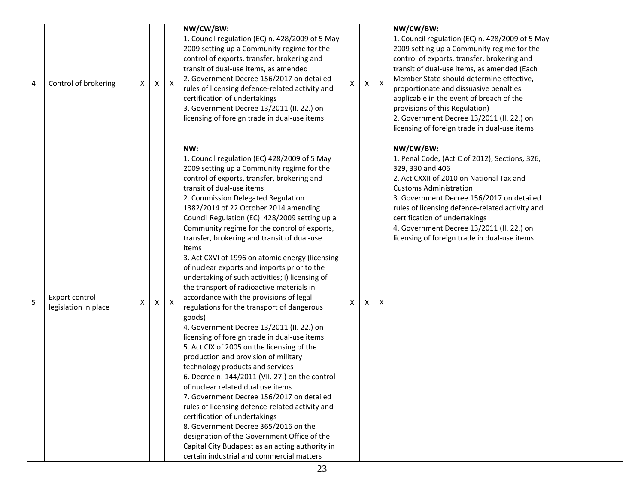| 4 | Control of brokering                   | Χ | х | $\boldsymbol{\mathsf{X}}$ | NW/CW/BW:<br>1. Council regulation (EC) n. 428/2009 of 5 May<br>2009 setting up a Community regime for the<br>control of exports, transfer, brokering and<br>transit of dual-use items, as amended<br>2. Government Decree 156/2017 on detailed<br>rules of licensing defence-related activity and<br>certification of undertakings<br>3. Government Decree 13/2011 (II. 22.) on<br>licensing of foreign trade in dual-use items                                                                                                                                                                                                                                                                                                                                                                                                                                                                                                                                                                                                                                                                                                                                                                                                                                                                                                                                  | X | X | $\mathsf{X}$ | NW/CW/BW:<br>1. Council regulation (EC) n. 428/2009 of 5 May<br>2009 setting up a Community regime for the<br>control of exports, transfer, brokering and<br>transit of dual-use items, as amended (Each<br>Member State should determine effective,<br>proportionate and dissuasive penalties<br>applicable in the event of breach of the<br>provisions of this Regulation)<br>2. Government Decree 13/2011 (II. 22.) on<br>licensing of foreign trade in dual-use items |  |
|---|----------------------------------------|---|---|---------------------------|-------------------------------------------------------------------------------------------------------------------------------------------------------------------------------------------------------------------------------------------------------------------------------------------------------------------------------------------------------------------------------------------------------------------------------------------------------------------------------------------------------------------------------------------------------------------------------------------------------------------------------------------------------------------------------------------------------------------------------------------------------------------------------------------------------------------------------------------------------------------------------------------------------------------------------------------------------------------------------------------------------------------------------------------------------------------------------------------------------------------------------------------------------------------------------------------------------------------------------------------------------------------------------------------------------------------------------------------------------------------|---|---|--------------|---------------------------------------------------------------------------------------------------------------------------------------------------------------------------------------------------------------------------------------------------------------------------------------------------------------------------------------------------------------------------------------------------------------------------------------------------------------------------|--|
| 5 | Export control<br>legislation in place | X | X | X                         | NW:<br>1. Council regulation (EC) 428/2009 of 5 May<br>2009 setting up a Community regime for the<br>control of exports, transfer, brokering and<br>transit of dual-use items<br>2. Commission Delegated Regulation<br>1382/2014 of 22 October 2014 amending<br>Council Regulation (EC) 428/2009 setting up a<br>Community regime for the control of exports,<br>transfer, brokering and transit of dual-use<br>items<br>3. Act CXVI of 1996 on atomic energy (licensing<br>of nuclear exports and imports prior to the<br>undertaking of such activities; i) licensing of<br>the transport of radioactive materials in<br>accordance with the provisions of legal<br>regulations for the transport of dangerous<br>goods)<br>4. Government Decree 13/2011 (II. 22.) on<br>licensing of foreign trade in dual-use items<br>5. Act CIX of 2005 on the licensing of the<br>production and provision of military<br>technology products and services<br>6. Decree n. 144/2011 (VII. 27.) on the control<br>of nuclear related dual use items<br>7. Government Decree 156/2017 on detailed<br>rules of licensing defence-related activity and<br>certification of undertakings<br>8. Government Decree 365/2016 on the<br>designation of the Government Office of the<br>Capital City Budapest as an acting authority in<br>certain industrial and commercial matters | X | X | X            | NW/CW/BW:<br>1. Penal Code, (Act C of 2012), Sections, 326,<br>329, 330 and 406<br>2. Act CXXII of 2010 on National Tax and<br><b>Customs Administration</b><br>3. Government Decree 156/2017 on detailed<br>rules of licensing defence-related activity and<br>certification of undertakings<br>4. Government Decree 13/2011 (II. 22.) on<br>licensing of foreign trade in dual-use items                                                                                |  |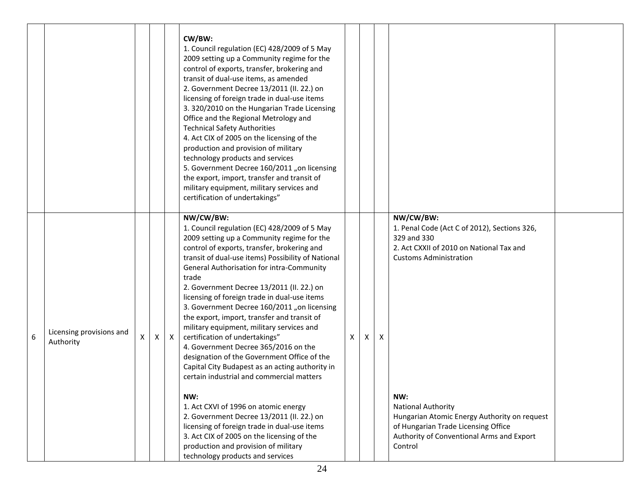|   |                                       |   |   |              | CW/BW:<br>1. Council regulation (EC) 428/2009 of 5 May<br>2009 setting up a Community regime for the<br>control of exports, transfer, brokering and<br>transit of dual-use items, as amended<br>2. Government Decree 13/2011 (II. 22.) on<br>licensing of foreign trade in dual-use items<br>3. 320/2010 on the Hungarian Trade Licensing<br>Office and the Regional Metrology and<br><b>Technical Safety Authorities</b><br>4. Act CIX of 2005 on the licensing of the<br>production and provision of military<br>technology products and services<br>5. Government Decree 160/2011 "on licensing<br>the export, import, transfer and transit of<br>military equipment, military services and<br>certification of undertakings"                                                                                                                                                                                                                                                                          |   |   |   |                                                                                                                                                                                                                                                                                                                                          |  |
|---|---------------------------------------|---|---|--------------|-----------------------------------------------------------------------------------------------------------------------------------------------------------------------------------------------------------------------------------------------------------------------------------------------------------------------------------------------------------------------------------------------------------------------------------------------------------------------------------------------------------------------------------------------------------------------------------------------------------------------------------------------------------------------------------------------------------------------------------------------------------------------------------------------------------------------------------------------------------------------------------------------------------------------------------------------------------------------------------------------------------|---|---|---|------------------------------------------------------------------------------------------------------------------------------------------------------------------------------------------------------------------------------------------------------------------------------------------------------------------------------------------|--|
| 6 | Licensing provisions and<br>Authority | X | X | $\mathsf{X}$ | NW/CW/BW:<br>1. Council regulation (EC) 428/2009 of 5 May<br>2009 setting up a Community regime for the<br>control of exports, transfer, brokering and<br>transit of dual-use items) Possibility of National<br>General Authorisation for intra-Community<br>trade<br>2. Government Decree 13/2011 (II. 22.) on<br>licensing of foreign trade in dual-use items<br>3. Government Decree 160/2011 "on licensing<br>the export, import, transfer and transit of<br>military equipment, military services and<br>certification of undertakings"<br>4. Government Decree 365/2016 on the<br>designation of the Government Office of the<br>Capital City Budapest as an acting authority in<br>certain industrial and commercial matters<br>NW:<br>1. Act CXVI of 1996 on atomic energy<br>2. Government Decree 13/2011 (II. 22.) on<br>licensing of foreign trade in dual-use items<br>3. Act CIX of 2005 on the licensing of the<br>production and provision of military<br>technology products and services | X | x | X | NW/CW/BW:<br>1. Penal Code (Act C of 2012), Sections 326,<br>329 and 330<br>2. Act CXXII of 2010 on National Tax and<br><b>Customs Administration</b><br>NW:<br><b>National Authority</b><br>Hungarian Atomic Energy Authority on request<br>of Hungarian Trade Licensing Office<br>Authority of Conventional Arms and Export<br>Control |  |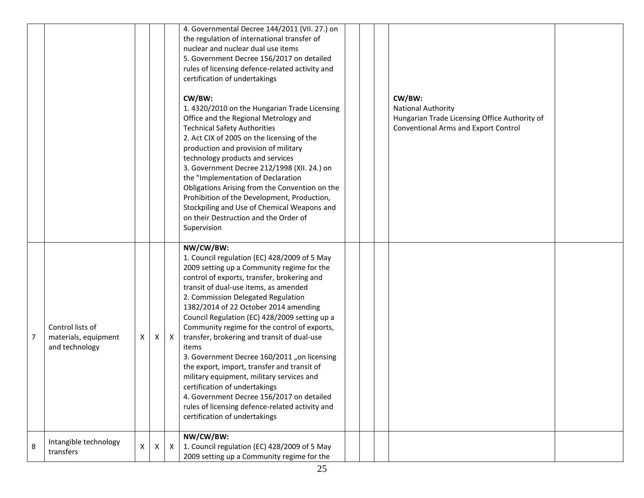|                |                                        |   |    |                           | 4. Governmental Decree 144/2011 (VII. 27.) on<br>the regulation of international transfer of |  |                                               |  |
|----------------|----------------------------------------|---|----|---------------------------|----------------------------------------------------------------------------------------------|--|-----------------------------------------------|--|
|                |                                        |   |    |                           | nuclear and nuclear dual use items<br>5. Government Decree 156/2017 on detailed              |  |                                               |  |
|                |                                        |   |    |                           | rules of licensing defence-related activity and                                              |  |                                               |  |
|                |                                        |   |    |                           | certification of undertakings                                                                |  |                                               |  |
|                |                                        |   |    |                           |                                                                                              |  |                                               |  |
|                |                                        |   |    |                           | CW/BW:                                                                                       |  | CW/BW:                                        |  |
|                |                                        |   |    |                           | 1.4320/2010 on the Hungarian Trade Licensing                                                 |  | <b>National Authority</b>                     |  |
|                |                                        |   |    |                           | Office and the Regional Metrology and                                                        |  | Hungarian Trade Licensing Office Authority of |  |
|                |                                        |   |    |                           | <b>Technical Safety Authorities</b>                                                          |  | Conventional Arms and Export Control          |  |
|                |                                        |   |    |                           | 2. Act CIX of 2005 on the licensing of the                                                   |  |                                               |  |
|                |                                        |   |    |                           | production and provision of military                                                         |  |                                               |  |
|                |                                        |   |    |                           | technology products and services                                                             |  |                                               |  |
|                |                                        |   |    |                           | 3. Government Decree 212/1998 (XII. 24.) on                                                  |  |                                               |  |
|                |                                        |   |    |                           | the "Implementation of Declaration                                                           |  |                                               |  |
|                |                                        |   |    |                           | Obligations Arising from the Convention on the                                               |  |                                               |  |
|                |                                        |   |    |                           | Prohibition of the Development, Production,                                                  |  |                                               |  |
|                |                                        |   |    |                           | Stockpiling and Use of Chemical Weapons and                                                  |  |                                               |  |
|                |                                        |   |    |                           | on their Destruction and the Order of                                                        |  |                                               |  |
|                |                                        |   |    |                           | Supervision                                                                                  |  |                                               |  |
|                |                                        |   |    |                           | NW/CW/BW:                                                                                    |  |                                               |  |
|                |                                        |   |    |                           | 1. Council regulation (EC) 428/2009 of 5 May                                                 |  |                                               |  |
|                |                                        |   |    |                           | 2009 setting up a Community regime for the                                                   |  |                                               |  |
|                |                                        |   |    |                           | control of exports, transfer, brokering and                                                  |  |                                               |  |
|                |                                        |   |    |                           | transit of dual-use items, as amended                                                        |  |                                               |  |
|                |                                        |   |    |                           | 2. Commission Delegated Regulation                                                           |  |                                               |  |
|                |                                        |   |    |                           | 1382/2014 of 22 October 2014 amending                                                        |  |                                               |  |
|                |                                        |   |    |                           | Council Regulation (EC) 428/2009 setting up a                                                |  |                                               |  |
|                | Control lists of                       |   |    |                           | Community regime for the control of exports,                                                 |  |                                               |  |
| $\overline{7}$ | materials, equipment<br>and technology | X | X  | $\mathsf{X}$              | transfer, brokering and transit of dual-use<br>items                                         |  |                                               |  |
|                |                                        |   |    |                           | 3. Government Decree 160/2011 "on licensing                                                  |  |                                               |  |
|                |                                        |   |    |                           | the export, import, transfer and transit of                                                  |  |                                               |  |
|                |                                        |   |    |                           | military equipment, military services and                                                    |  |                                               |  |
|                |                                        |   |    |                           | certification of undertakings                                                                |  |                                               |  |
|                |                                        |   |    |                           | 4. Government Decree 156/2017 on detailed                                                    |  |                                               |  |
|                |                                        |   |    |                           | rules of licensing defence-related activity and                                              |  |                                               |  |
|                |                                        |   |    |                           | certification of undertakings                                                                |  |                                               |  |
|                |                                        |   |    |                           | NW/CW/BW:                                                                                    |  |                                               |  |
|                |                                        |   |    |                           |                                                                                              |  |                                               |  |
|                | Intangible technology                  |   |    |                           |                                                                                              |  |                                               |  |
| 8              | transfers                              | X | X. | $\boldsymbol{\mathsf{X}}$ | 1. Council regulation (EC) 428/2009 of 5 May<br>2009 setting up a Community regime for the   |  |                                               |  |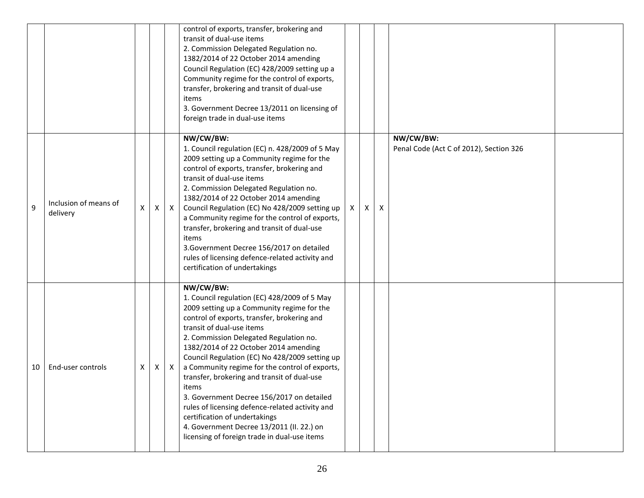|    |                                   |    |   |              | control of exports, transfer, brokering and<br>transit of dual-use items<br>2. Commission Delegated Regulation no.<br>1382/2014 of 22 October 2014 amending<br>Council Regulation (EC) 428/2009 setting up a<br>Community regime for the control of exports,<br>transfer, brokering and transit of dual-use<br>items<br>3. Government Decree 13/2011 on licensing of<br>foreign trade in dual-use items                                                                                                                                                                                                                                                          |   |   |   |                                                      |  |
|----|-----------------------------------|----|---|--------------|------------------------------------------------------------------------------------------------------------------------------------------------------------------------------------------------------------------------------------------------------------------------------------------------------------------------------------------------------------------------------------------------------------------------------------------------------------------------------------------------------------------------------------------------------------------------------------------------------------------------------------------------------------------|---|---|---|------------------------------------------------------|--|
| 9  | Inclusion of means of<br>delivery | X. | X | $\mathsf{X}$ | NW/CW/BW:<br>1. Council regulation (EC) n. 428/2009 of 5 May<br>2009 setting up a Community regime for the<br>control of exports, transfer, brokering and<br>transit of dual-use items<br>2. Commission Delegated Regulation no.<br>1382/2014 of 22 October 2014 amending<br>Council Regulation (EC) No 428/2009 setting up<br>a Community regime for the control of exports,<br>transfer, brokering and transit of dual-use<br>items<br>3. Government Decree 156/2017 on detailed<br>rules of licensing defence-related activity and<br>certification of undertakings                                                                                           | X | X | X | NW/CW/BW:<br>Penal Code (Act C of 2012), Section 326 |  |
| 10 | End-user controls                 | X  | X | $\mathsf{X}$ | NW/CW/BW:<br>1. Council regulation (EC) 428/2009 of 5 May<br>2009 setting up a Community regime for the<br>control of exports, transfer, brokering and<br>transit of dual-use items<br>2. Commission Delegated Regulation no.<br>1382/2014 of 22 October 2014 amending<br>Council Regulation (EC) No 428/2009 setting up<br>a Community regime for the control of exports,<br>transfer, brokering and transit of dual-use<br>items<br>3. Government Decree 156/2017 on detailed<br>rules of licensing defence-related activity and<br>certification of undertakings<br>4. Government Decree 13/2011 (II. 22.) on<br>licensing of foreign trade in dual-use items |   |   |   |                                                      |  |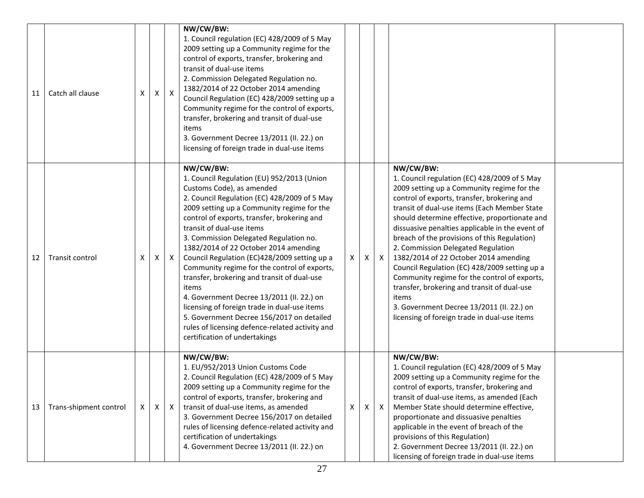| 11 | Catch all clause       | X | X | $\mathsf{X}$ | NW/CW/BW:<br>1. Council regulation (EC) 428/2009 of 5 May<br>2009 setting up a Community regime for the<br>control of exports, transfer, brokering and<br>transit of dual-use items<br>2. Commission Delegated Regulation no.<br>1382/2014 of 22 October 2014 amending<br>Council Regulation (EC) 428/2009 setting up a<br>Community regime for the control of exports,<br>transfer, brokering and transit of dual-use<br>items<br>3. Government Decree 13/2011 (II. 22.) on<br>licensing of foreign trade in dual-use items                                                                                                                                                                                                            |   |   |              |                                                                                                                                                                                                                                                                                                                                                                                                                                                                                                                                                                                                                                                                                                 |  |
|----|------------------------|---|---|--------------|-----------------------------------------------------------------------------------------------------------------------------------------------------------------------------------------------------------------------------------------------------------------------------------------------------------------------------------------------------------------------------------------------------------------------------------------------------------------------------------------------------------------------------------------------------------------------------------------------------------------------------------------------------------------------------------------------------------------------------------------|---|---|--------------|-------------------------------------------------------------------------------------------------------------------------------------------------------------------------------------------------------------------------------------------------------------------------------------------------------------------------------------------------------------------------------------------------------------------------------------------------------------------------------------------------------------------------------------------------------------------------------------------------------------------------------------------------------------------------------------------------|--|
| 12 | Transit control        | X | X | X            | NW/CW/BW:<br>1. Council Regulation (EU) 952/2013 (Union<br>Customs Code), as amended<br>2. Council Regulation (EC) 428/2009 of 5 May<br>2009 setting up a Community regime for the<br>control of exports, transfer, brokering and<br>transit of dual-use items<br>3. Commission Delegated Regulation no.<br>1382/2014 of 22 October 2014 amending<br>Council Regulation (EC)428/2009 setting up a<br>Community regime for the control of exports,<br>transfer, brokering and transit of dual-use<br>items<br>4. Government Decree 13/2011 (II. 22.) on<br>licensing of foreign trade in dual-use items<br>5. Government Decree 156/2017 on detailed<br>rules of licensing defence-related activity and<br>certification of undertakings | X | X | $\mathsf{X}$ | NW/CW/BW:<br>1. Council regulation (EC) 428/2009 of 5 May<br>2009 setting up a Community regime for the<br>control of exports, transfer, brokering and<br>transit of dual-use items (Each Member State<br>should determine effective, proportionate and<br>dissuasive penalties applicable in the event of<br>breach of the provisions of this Regulation)<br>2. Commission Delegated Regulation<br>1382/2014 of 22 October 2014 amending<br>Council Regulation (EC) 428/2009 setting up a<br>Community regime for the control of exports,<br>transfer, brokering and transit of dual-use<br>items<br>3. Government Decree 13/2011 (II. 22.) on<br>licensing of foreign trade in dual-use items |  |
| 13 | Trans-shipment control | Χ | Χ | $\mathsf{X}$ | NW/CW/BW:<br>1. EU/952/2013 Union Customs Code<br>2. Council Regulation (EC) 428/2009 of 5 May<br>2009 setting up a Community regime for the<br>control of exports, transfer, brokering and<br>transit of dual-use items, as amended<br>3. Government Decree 156/2017 on detailed<br>rules of licensing defence-related activity and<br>certification of undertakings<br>4. Government Decree 13/2011 (II. 22.) on                                                                                                                                                                                                                                                                                                                      | X | X | $\mathsf{X}$ | NW/CW/BW:<br>1. Council regulation (EC) 428/2009 of 5 May<br>2009 setting up a Community regime for the<br>control of exports, transfer, brokering and<br>transit of dual-use items, as amended (Each<br>Member State should determine effective,<br>proportionate and dissuasive penalties<br>applicable in the event of breach of the<br>provisions of this Regulation)<br>2. Government Decree 13/2011 (II. 22.) on<br>licensing of foreign trade in dual-use items                                                                                                                                                                                                                          |  |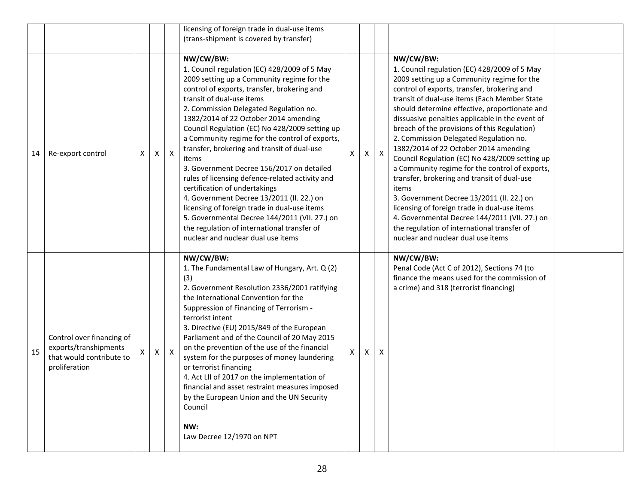|    |                                                                                                 |   |   |              | licensing of foreign trade in dual-use items                                                                                                                                                                                                                                                                                                                                                                                                                                                                                                                                                                                                                                                                                                                                                           |   |   |              |                                                                                                                                                                                                                                                                                                                                                                                                                                                                                                                                                                                                                                                                                                                                                                                                                                              |  |
|----|-------------------------------------------------------------------------------------------------|---|---|--------------|--------------------------------------------------------------------------------------------------------------------------------------------------------------------------------------------------------------------------------------------------------------------------------------------------------------------------------------------------------------------------------------------------------------------------------------------------------------------------------------------------------------------------------------------------------------------------------------------------------------------------------------------------------------------------------------------------------------------------------------------------------------------------------------------------------|---|---|--------------|----------------------------------------------------------------------------------------------------------------------------------------------------------------------------------------------------------------------------------------------------------------------------------------------------------------------------------------------------------------------------------------------------------------------------------------------------------------------------------------------------------------------------------------------------------------------------------------------------------------------------------------------------------------------------------------------------------------------------------------------------------------------------------------------------------------------------------------------|--|
|    |                                                                                                 |   |   |              | (trans-shipment is covered by transfer)                                                                                                                                                                                                                                                                                                                                                                                                                                                                                                                                                                                                                                                                                                                                                                |   |   |              |                                                                                                                                                                                                                                                                                                                                                                                                                                                                                                                                                                                                                                                                                                                                                                                                                                              |  |
| 14 | Re-export control                                                                               | X | Χ | $\mathsf{X}$ | NW/CW/BW:<br>1. Council regulation (EC) 428/2009 of 5 May<br>2009 setting up a Community regime for the<br>control of exports, transfer, brokering and<br>transit of dual-use items<br>2. Commission Delegated Regulation no.<br>1382/2014 of 22 October 2014 amending<br>Council Regulation (EC) No 428/2009 setting up<br>a Community regime for the control of exports,<br>transfer, brokering and transit of dual-use<br>items<br>3. Government Decree 156/2017 on detailed<br>rules of licensing defence-related activity and<br>certification of undertakings<br>4. Government Decree 13/2011 (II. 22.) on<br>licensing of foreign trade in dual-use items<br>5. Governmental Decree 144/2011 (VII. 27.) on<br>the regulation of international transfer of<br>nuclear and nuclear dual use items | X | Χ | $\mathsf{X}$ | NW/CW/BW:<br>1. Council regulation (EC) 428/2009 of 5 May<br>2009 setting up a Community regime for the<br>control of exports, transfer, brokering and<br>transit of dual-use items (Each Member State<br>should determine effective, proportionate and<br>dissuasive penalties applicable in the event of<br>breach of the provisions of this Regulation)<br>2. Commission Delegated Regulation no.<br>1382/2014 of 22 October 2014 amending<br>Council Regulation (EC) No 428/2009 setting up<br>a Community regime for the control of exports,<br>transfer, brokering and transit of dual-use<br>items<br>3. Government Decree 13/2011 (II. 22.) on<br>licensing of foreign trade in dual-use items<br>4. Governmental Decree 144/2011 (VII. 27.) on<br>the regulation of international transfer of<br>nuclear and nuclear dual use items |  |
| 15 | Control over financing of<br>exports/transhipments<br>that would contribute to<br>proliferation |   | X | $\mathsf{X}$ | NW/CW/BW:<br>1. The Fundamental Law of Hungary, Art. Q (2)<br>(3)<br>2. Government Resolution 2336/2001 ratifying<br>the International Convention for the<br>Suppression of Financing of Terrorism -<br>terrorist intent<br>3. Directive (EU) 2015/849 of the European<br>Parliament and of the Council of 20 May 2015<br>on the prevention of the use of the financial<br>system for the purposes of money laundering<br>or terrorist financing<br>4. Act LII of 2017 on the implementation of<br>financial and asset restraint measures imposed<br>by the European Union and the UN Security<br>Council<br>NW:<br>Law Decree 12/1970 on NPT                                                                                                                                                          |   | X | X            | NW/CW/BW:<br>Penal Code (Act C of 2012), Sections 74 (to<br>finance the means used for the commission of<br>a crime) and 318 (terrorist financing)                                                                                                                                                                                                                                                                                                                                                                                                                                                                                                                                                                                                                                                                                           |  |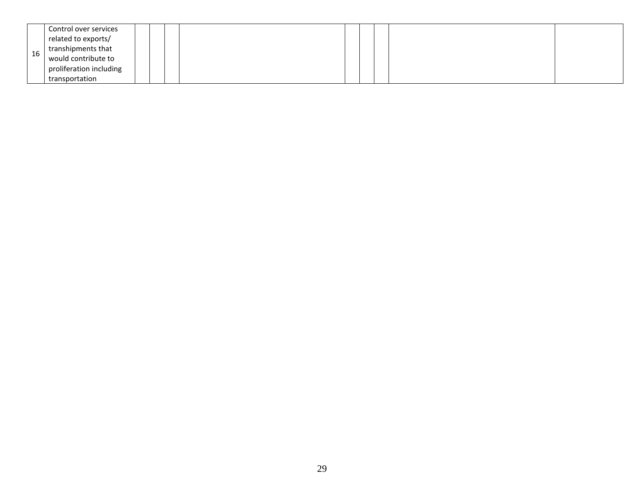|    | Control over services   |  |  |  |  |  |
|----|-------------------------|--|--|--|--|--|
|    | related to exports/     |  |  |  |  |  |
| 16 | transhipments that      |  |  |  |  |  |
|    | would contribute to     |  |  |  |  |  |
|    | proliferation including |  |  |  |  |  |
|    | transportation          |  |  |  |  |  |